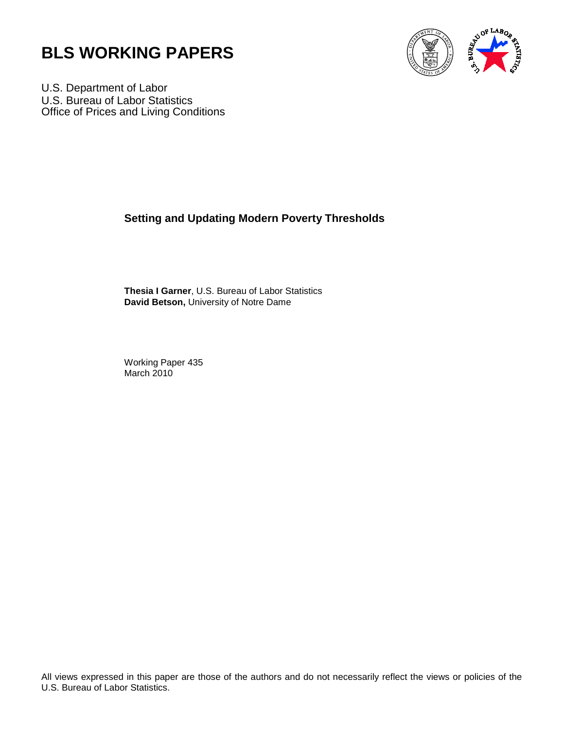



U.S. Department of Labor U.S. Bureau of Labor Statistics Office of Prices and Living Conditions

# **Setting and Updating Modern Poverty Thresholds**

**Thesia I Garner**, U.S. Bureau of Labor Statistics **David Betson,** University of Notre Dame

Working Paper 435 March 2010

All views expressed in this paper are those of the authors and do not necessarily reflect the views or policies of the U.S. Bureau of Labor Statistics.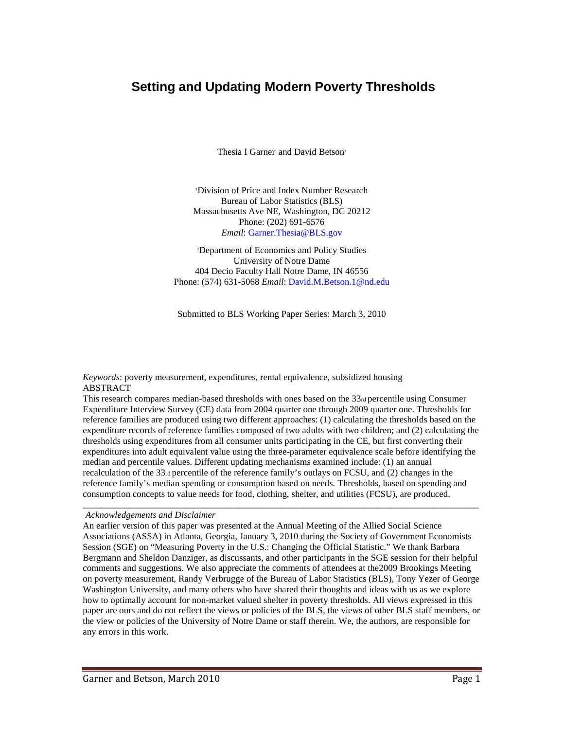# **Setting and Updating Modern Poverty Thresholds**

Thesia I Garner<sup>1</sup> and David Betson<sup>2</sup>

1 Division of Price and Index Number Research Bureau of Labor Statistics (BLS) Massachusetts Ave NE, Washington, DC 20212 Phone: (202) 691-6576 *Email*: Garner.Thesia@BLS.gov

2 Department of Economics and Policy Studies University of Notre Dame 404 Decio Faculty Hall Notre Dame, IN 46556 Phone: (574) 631-5068 *Email*: David.M.Betson.1@nd.edu

Submitted to BLS Working Paper Series: March 3, 2010

*Keywords*: poverty measurement, expenditures, rental equivalence, subsidized housing ABSTRACT

This research compares median-based thresholds with ones based on the  $33<sub>rd</sub>$  percentile using Consumer Expenditure Interview Survey (CE) data from 2004 quarter one through 2009 quarter one. Thresholds for reference families are produced using two different approaches: (1) calculating the thresholds based on the expenditure records of reference families composed of two adults with two children; and (2) calculating the thresholds using expenditures from all consumer units participating in the CE, but first converting their expenditures into adult equivalent value using the three-parameter equivalence scale before identifying the median and percentile values. Different updating mechanisms examined include: (1) an annual recalculation of the  $33<sub>rd</sub>$  percentile of the reference family's outlays on FCSU, and (2) changes in the reference family's median spending or consumption based on needs. Thresholds, based on spending and consumption concepts to value needs for food, clothing, shelter, and utilities (FCSU), are produced.

\_\_\_\_\_\_\_\_\_\_\_\_\_\_\_\_\_\_\_\_\_\_\_\_\_\_\_\_\_\_\_\_\_\_\_\_\_\_\_\_\_\_\_\_\_\_\_\_\_\_\_\_\_\_\_\_\_\_\_\_\_\_\_\_\_\_\_\_\_\_\_\_\_\_\_\_\_\_\_\_\_\_\_\_\_\_

#### *Acknowledgements and Disclaimer*

An earlier version of this paper was presented at the Annual Meeting of the Allied Social Science Associations (ASSA) in Atlanta, Georgia, January 3, 2010 during the Society of Government Economists Session (SGE) on "Measuring Poverty in the U.S.: Changing the Official Statistic." We thank Barbara Bergmann and Sheldon Danziger, as discussants, and other participants in the SGE session for their helpful comments and suggestions. We also appreciate the comments of attendees at the2009 Brookings Meeting on poverty measurement, Randy Verbrugge of the Bureau of Labor Statistics (BLS), Tony Yezer of George Washington University, and many others who have shared their thoughts and ideas with us as we explore how to optimally account for non-market valued shelter in poverty thresholds. All views expressed in this paper are ours and do not reflect the views or policies of the BLS, the views of other BLS staff members, or the view or policies of the University of Notre Dame or staff therein. We, the authors, are responsible for any errors in this work.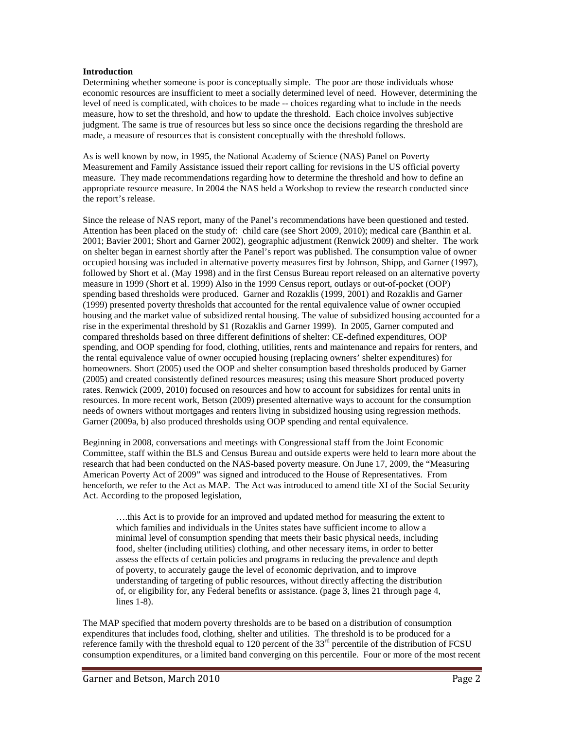#### **Introduction**

Determining whether someone is poor is conceptually simple. The poor are those individuals whose economic resources are insufficient to meet a socially determined level of need. However, determining the level of need is complicated, with choices to be made -- choices regarding what to include in the needs measure, how to set the threshold, and how to update the threshold. Each choice involves subjective judgment. The same is true of resources but less so since once the decisions regarding the threshold are made, a measure of resources that is consistent conceptually with the threshold follows.

As is well known by now, in 1995, the National Academy of Science (NAS) Panel on Poverty Measurement and Family Assistance issued their report calling for revisions in the US official poverty measure. They made recommendations regarding how to determine the threshold and how to define an appropriate resource measure. In 2004 the NAS held a Workshop to review the research conducted since the report's release.

Since the release of NAS report, many of the Panel's recommendations have been questioned and tested. Attention has been placed on the study of: child care (see Short 2009, 2010); medical care (Banthin et al. 2001; Bavier 2001; Short and Garner 2002), geographic adjustment (Renwick 2009) and shelter. The work on shelter began in earnest shortly after the Panel's report was published. The consumption value of owner occupied housing was included in alternative poverty measures first by Johnson, Shipp, and Garner (1997), followed by Short et al. (May 1998) and in the first Census Bureau report released on an alternative poverty measure in 1999 (Short et al. 1999) Also in the 1999 Census report, outlays or out-of-pocket (OOP) spending based thresholds were produced. Garner and Rozaklis (1999, 2001) and Rozaklis and Garner (1999) presented poverty thresholds that accounted for the rental equivalence value of owner occupied housing and the market value of subsidized rental housing. The value of subsidized housing accounted for a rise in the experimental threshold by \$1 (Rozaklis and Garner 1999). In 2005, Garner computed and compared thresholds based on three different definitions of shelter: CE-defined expenditures, OOP spending, and OOP spending for food, clothing, utilities, rents and maintenance and repairs for renters, and the rental equivalence value of owner occupied housing (replacing owners' shelter expenditures) for homeowners. Short (2005) used the OOP and shelter consumption based thresholds produced by Garner (2005) and created consistently defined resources measures; using this measure Short produced poverty rates. Renwick (2009, 2010) focused on resources and how to account for subsidizes for rental units in resources. In more recent work, Betson (2009) presented alternative ways to account for the consumption needs of owners without mortgages and renters living in subsidized housing using regression methods. Garner (2009a, b) also produced thresholds using OOP spending and rental equivalence.

Beginning in 2008, conversations and meetings with Congressional staff from the Joint Economic Committee, staff within the BLS and Census Bureau and outside experts were held to learn more about the research that had been conducted on the NAS-based poverty measure. On June 17, 2009, the "Measuring American Poverty Act of 2009" was signed and introduced to the House of Representatives. From henceforth, we refer to the Act as MAP. The Act was introduced to amend title XI of the Social Security Act. According to the proposed legislation,

….this Act is to provide for an improved and updated method for measuring the extent to which families and individuals in the Unites states have sufficient income to allow a minimal level of consumption spending that meets their basic physical needs, including food, shelter (including utilities) clothing, and other necessary items, in order to better assess the effects of certain policies and programs in reducing the prevalence and depth of poverty, to accurately gauge the level of economic deprivation, and to improve understanding of targeting of public resources, without directly affecting the distribution of, or eligibility for, any Federal benefits or assistance. (page 3, lines 21 through page 4, lines 1-8).

The MAP specified that modern poverty thresholds are to be based on a distribution of consumption expenditures that includes food, clothing, shelter and utilities. The threshold is to be produced for a reference family with the threshold equal to 120 percent of the  $33<sup>rd</sup>$  percentile of the distribution of FCSU consumption expenditures, or a limited band converging on this percentile. Four or more of the most recent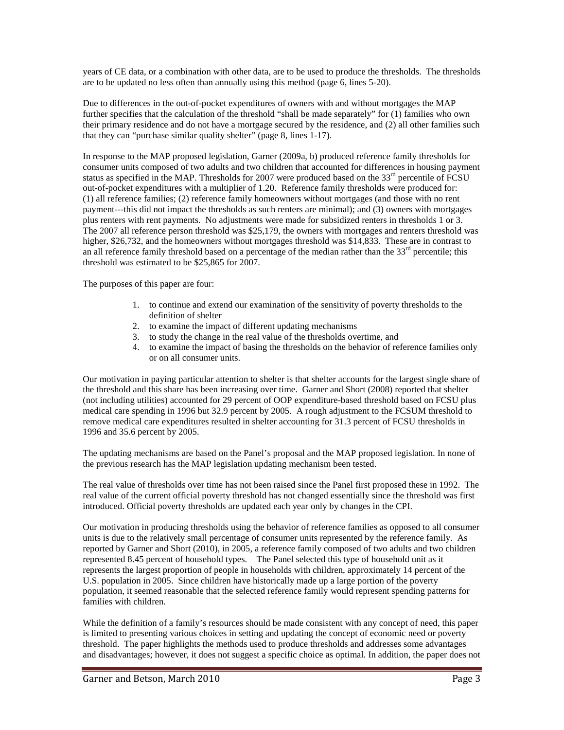years of CE data, or a combination with other data, are to be used to produce the thresholds. The thresholds are to be updated no less often than annually using this method (page 6, lines 5-20).

Due to differences in the out-of-pocket expenditures of owners with and without mortgages the MAP further specifies that the calculation of the threshold "shall be made separately" for (1) families who own their primary residence and do not have a mortgage secured by the residence, and (2) all other families such that they can "purchase similar quality shelter" (page 8, lines 1-17).

In response to the MAP proposed legislation, Garner (2009a, b) produced reference family thresholds for consumer units composed of two adults and two children that accounted for differences in housing payment status as specified in the MAP. Thresholds for 2007 were produced based on the 33<sup>rd</sup> percentile of FCSU out-of-pocket expenditures with a multiplier of 1.20. Reference family thresholds were produced for: (1) all reference families; (2) reference family homeowners without mortgages (and those with no rent payment---this did not impact the thresholds as such renters are minimal); and (3) owners with mortgages plus renters with rent payments. No adjustments were made for subsidized renters in thresholds 1 or 3. The 2007 all reference person threshold was \$25,179, the owners with mortgages and renters threshold was higher, \$26,732, and the homeowners without mortgages threshold was \$14,833. These are in contrast to an all reference family threshold based on a percentage of the median rather than the  $33<sup>rd</sup>$  percentile; this threshold was estimated to be \$25,865 for 2007.

The purposes of this paper are four:

- 1. to continue and extend our examination of the sensitivity of poverty thresholds to the definition of shelter
- 2. to examine the impact of different updating mechanisms
- 3. to study the change in the real value of the thresholds overtime, and
- 4. to examine the impact of basing the thresholds on the behavior of reference families only or on all consumer units.

Our motivation in paying particular attention to shelter is that shelter accounts for the largest single share of the threshold and this share has been increasing over time. Garner and Short (2008) reported that shelter (not including utilities) accounted for 29 percent of OOP expenditure-based threshold based on FCSU plus medical care spending in 1996 but 32.9 percent by 2005. A rough adjustment to the FCSUM threshold to remove medical care expenditures resulted in shelter accounting for 31.3 percent of FCSU thresholds in 1996 and 35.6 percent by 2005.

The updating mechanisms are based on the Panel's proposal and the MAP proposed legislation. In none of the previous research has the MAP legislation updating mechanism been tested.

The real value of thresholds over time has not been raised since the Panel first proposed these in 1992. The real value of the current official poverty threshold has not changed essentially since the threshold was first introduced. Official poverty thresholds are updated each year only by changes in the CPI.

Our motivation in producing thresholds using the behavior of reference families as opposed to all consumer units is due to the relatively small percentage of consumer units represented by the reference family. As reported by Garner and Short (2010), in 2005, a reference family composed of two adults and two children represented 8.45 percent of household types. The Panel selected this type of household unit as it represents the largest proportion of people in households with children, approximately 14 percent of the U.S. population in 2005. Since children have historically made up a large portion of the poverty population, it seemed reasonable that the selected reference family would represent spending patterns for families with children.

While the definition of a family's resources should be made consistent with any concept of need, this paper is limited to presenting various choices in setting and updating the concept of economic need or poverty threshold. The paper highlights the methods used to produce thresholds and addresses some advantages and disadvantages; however, it does not suggest a specific choice as optimal. In addition, the paper does not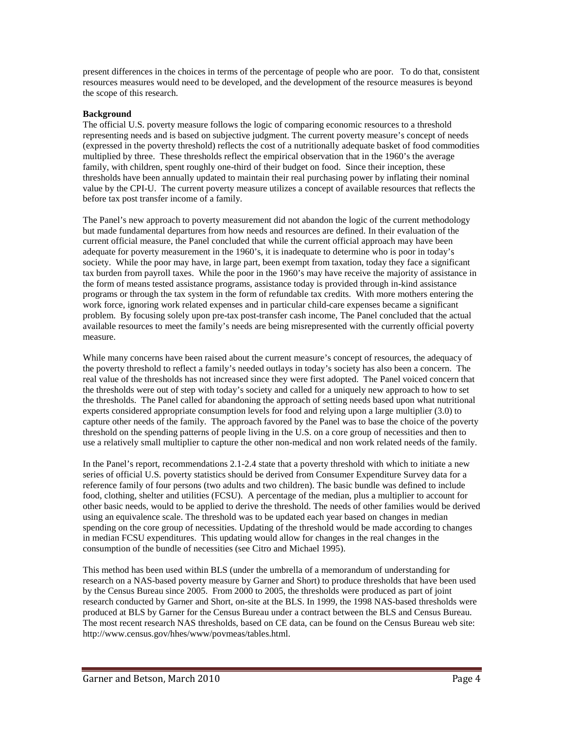present differences in the choices in terms of the percentage of people who are poor. To do that, consistent resources measures would need to be developed, and the development of the resource measures is beyond the scope of this research.

## **Background**

The official U.S. poverty measure follows the logic of comparing economic resources to a threshold representing needs and is based on subjective judgment. The current poverty measure's concept of needs (expressed in the poverty threshold) reflects the cost of a nutritionally adequate basket of food commodities multiplied by three. These thresholds reflect the empirical observation that in the 1960's the average family, with children, spent roughly one-third of their budget on food. Since their inception, these thresholds have been annually updated to maintain their real purchasing power by inflating their nominal value by the CPI-U. The current poverty measure utilizes a concept of available resources that reflects the before tax post transfer income of a family.

The Panel's new approach to poverty measurement did not abandon the logic of the current methodology but made fundamental departures from how needs and resources are defined. In their evaluation of the current official measure, the Panel concluded that while the current official approach may have been adequate for poverty measurement in the 1960's, it is inadequate to determine who is poor in today's society. While the poor may have, in large part, been exempt from taxation, today they face a significant tax burden from payroll taxes. While the poor in the 1960's may have receive the majority of assistance in the form of means tested assistance programs, assistance today is provided through in-kind assistance programs or through the tax system in the form of refundable tax credits. With more mothers entering the work force, ignoring work related expenses and in particular child-care expenses became a significant problem. By focusing solely upon pre-tax post-transfer cash income, The Panel concluded that the actual available resources to meet the family's needs are being misrepresented with the currently official poverty measure.

While many concerns have been raised about the current measure's concept of resources, the adequacy of the poverty threshold to reflect a family's needed outlays in today's society has also been a concern. The real value of the thresholds has not increased since they were first adopted. The Panel voiced concern that the thresholds were out of step with today's society and called for a uniquely new approach to how to set the thresholds. The Panel called for abandoning the approach of setting needs based upon what nutritional experts considered appropriate consumption levels for food and relying upon a large multiplier (3.0) to capture other needs of the family. The approach favored by the Panel was to base the choice of the poverty threshold on the spending patterns of people living in the U.S. on a core group of necessities and then to use a relatively small multiplier to capture the other non-medical and non work related needs of the family.

In the Panel's report, recommendations 2.1-2.4 state that a poverty threshold with which to initiate a new series of official U.S. poverty statistics should be derived from Consumer Expenditure Survey data for a reference family of four persons (two adults and two children). The basic bundle was defined to include food, clothing, shelter and utilities (FCSU). A percentage of the median, plus a multiplier to account for other basic needs, would to be applied to derive the threshold. The needs of other families would be derived using an equivalence scale. The threshold was to be updated each year based on changes in median spending on the core group of necessities. Updating of the threshold would be made according to changes in median FCSU expenditures. This updating would allow for changes in the real changes in the consumption of the bundle of necessities (see Citro and Michael 1995).

This method has been used within BLS (under the umbrella of a memorandum of understanding for research on a NAS-based poverty measure by Garner and Short) to produce thresholds that have been used by the Census Bureau since 2005. From 2000 to 2005, the thresholds were produced as part of joint research conducted by Garner and Short, on-site at the BLS. In 1999, the 1998 NAS-based thresholds were produced at BLS by Garner for the Census Bureau under a contract between the BLS and Census Bureau. The most recent research NAS thresholds, based on CE data, can be found on the Census Bureau web site: http://www.census.gov/hhes/www/povmeas/tables.html.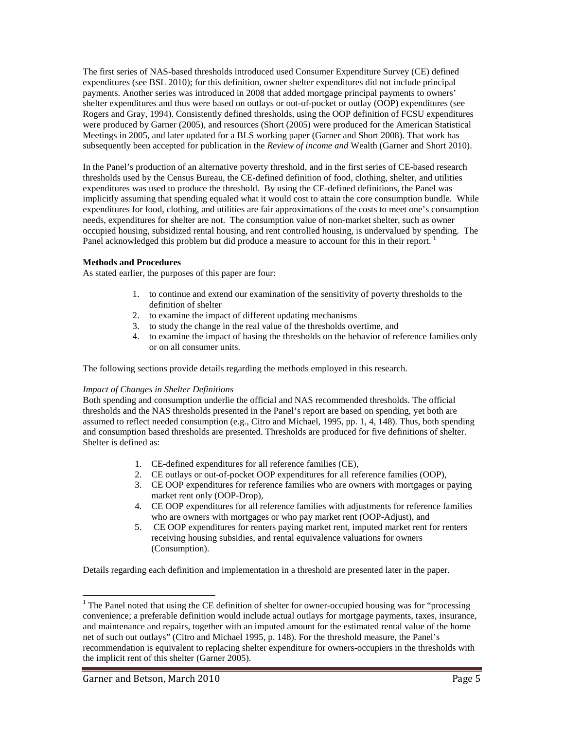The first series of NAS-based thresholds introduced used Consumer Expenditure Survey (CE) defined expenditures (see BSL 2010); for this definition, owner shelter expenditures did not include principal payments. Another series was introduced in 2008 that added mortgage principal payments to owners' shelter expenditures and thus were based on outlays or out-of-pocket or outlay (OOP) expenditures (see Rogers and Gray, 1994). Consistently defined thresholds, using the OOP definition of FCSU expenditures were produced by Garner (2005), and resources (Short (2005) were produced for the American Statistical Meetings in 2005, and later updated for a BLS working paper (Garner and Short 2008). That work has subsequently been accepted for publication in the *Review of income and* Wealth (Garner and Short 2010).

In the Panel's production of an alternative poverty threshold, and in the first series of CE-based research thresholds used by the Census Bureau, the CE-defined definition of food, clothing, shelter, and utilities expenditures was used to produce the threshold. By using the CE-defined definitions, the Panel was implicitly assuming that spending equaled what it would cost to attain the core consumption bundle. While expenditures for food, clothing, and utilities are fair approximations of the costs to meet one's consumption needs, expenditures for shelter are not. The consumption value of non-market shelter, such as owner occupied housing, subsidized rental housing, and rent controlled housing, is undervalued by spending. The Panel acknowledged this problem but did produce a measure to account for this in their report.<sup>[1](#page-5-0)</sup>

#### **Methods and Procedures**

As stated earlier, the purposes of this paper are four:

- 1. to continue and extend our examination of the sensitivity of poverty thresholds to the definition of shelter
- 2. to examine the impact of different updating mechanisms
- 3. to study the change in the real value of the thresholds overtime, and
- 4. to examine the impact of basing the thresholds on the behavior of reference families only or on all consumer units.

The following sections provide details regarding the methods employed in this research.

#### *Impact of Changes in Shelter Definitions*

Both spending and consumption underlie the official and NAS recommended thresholds. The official thresholds and the NAS thresholds presented in the Panel's report are based on spending, yet both are assumed to reflect needed consumption (e.g., Citro and Michael, 1995, pp. 1, 4, 148). Thus, both spending and consumption based thresholds are presented. Thresholds are produced for five definitions of shelter. Shelter is defined as:

- 1. CE-defined expenditures for all reference families (CE),
- 2. CE outlays or out-of-pocket OOP expenditures for all reference families (OOP),
- 3. CE OOP expenditures for reference families who are owners with mortgages or paying market rent only (OOP-Drop),
- 4. CE OOP expenditures for all reference families with adjustments for reference families who are owners with mortgages or who pay market rent (OOP-Adjust), and
- 5. CE OOP expenditures for renters paying market rent, imputed market rent for renters receiving housing subsidies, and rental equivalence valuations for owners (Consumption).

Details regarding each definition and implementation in a threshold are presented later in the paper.

 $\overline{a}$ 

<span id="page-5-0"></span> $1$  The Panel noted that using the CE definition of shelter for owner-occupied housing was for "processing" convenience; a preferable definition would include actual outlays for mortgage payments, taxes, insurance, and maintenance and repairs, together with an imputed amount for the estimated rental value of the home net of such out outlays" (Citro and Michael 1995, p. 148). For the threshold measure, the Panel's recommendation is equivalent to replacing shelter expenditure for owners-occupiers in the thresholds with the implicit rent of this shelter (Garner 2005).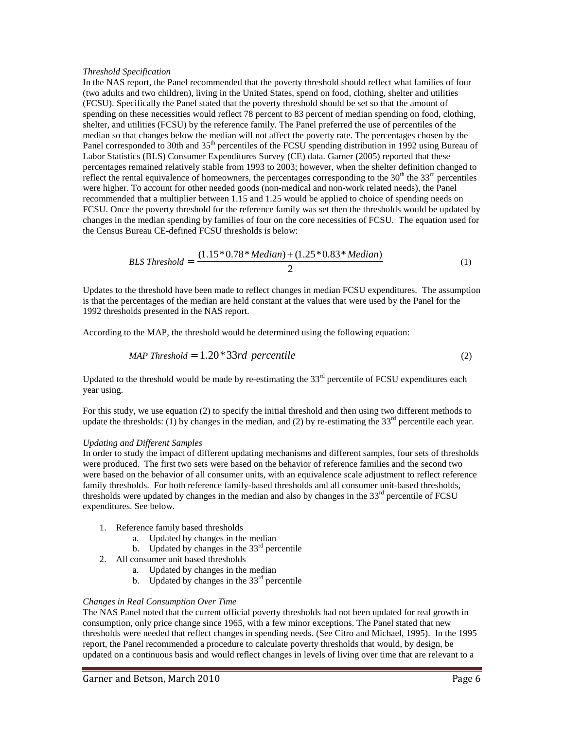#### *Threshold Specification*

In the NAS report, the Panel recommended that the poverty threshold should reflect what families of four (two adults and two children), living in the United States, spend on food, clothing, shelter and utilities (FCSU). Specifically the Panel stated that the poverty threshold should be set so that the amount of spending on these necessities would reflect 78 percent to 83 percent of median spending on food, clothing, shelter, and utilities (FCSU) by the reference family. The Panel preferred the use of percentiles of the median so that changes below the median will not affect the poverty rate. The percentages chosen by the Panel corresponded to 30th and 35<sup>th</sup> percentiles of the FCSU spending distribution in 1992 using Bureau of Labor Statistics (BLS) Consumer Expenditures Survey (CE) data. Garner (2005) reported that these percentages remained relatively stable from 1993 to 2003; however, when the shelter definition changed to reflect the rental equivalence of homeowners, the percentages corresponding to the  $30<sup>th</sup>$  the  $33<sup>rd</sup>$  percentiles were higher. To account for other needed goods (non-medical and non-work related needs), the Panel recommended that a multiplier between 1.15 and 1.25 would be applied to choice of spending needs on FCSU. Once the poverty threshold for the reference family was set then the thresholds would be updated by changes in the median spending by families of four on the core necessities of FCSU. The equation used for the Census Bureau CE-defined FCSU thresholds is below:

$$
BLS\ Threshold = \frac{(1.15 * 0.78 * Median) + (1.25 * 0.83 * Median)}{2}
$$
(1)

Updates to the threshold have been made to reflect changes in median FCSU expenditures. The assumption is that the percentages of the median are held constant at the values that were used by the Panel for the 1992 thresholds presented in the NAS report.

According to the MAP, the threshold would be determined using the following equation:

$$
MAP\;Threshold = 1.20*33rd\; percentile\tag{2}
$$

Updated to the threshold would be made by re-estimating the  $33<sup>rd</sup>$  percentile of FCSU expenditures each year using.

For this study, we use equation (2) to specify the initial threshold and then using two different methods to update the thresholds: (1) by changes in the median, and (2) by re-estimating the  $33<sup>rd</sup>$  percentile each year.

#### *Updating and Different Samples*

In order to study the impact of different updating mechanisms and different samples, four sets of thresholds were produced. The first two sets were based on the behavior of reference families and the second two were based on the behavior of all consumer units, with an equivalence scale adjustment to reflect reference family thresholds. For both reference family-based thresholds and all consumer unit-based thresholds, thresholds were updated by changes in the median and also by changes in the  $33<sup>rd</sup>$  percentile of FCSU expenditures. See below.

- 1. Reference family based thresholds
	- a. Updated by changes in the median
	- b. Updated by changes in the  $33<sup>rd</sup>$  percentile
- 2. All consumer unit based thresholds
	- a. Updated by changes in the median
	- b. Updated by changes in the  $33<sup>rd</sup>$  percentile

#### *Changes in Real Consumption Over Time*

The NAS Panel noted that the current official poverty thresholds had not been updated for real growth in consumption, only price change since 1965, with a few minor exceptions. The Panel stated that new thresholds were needed that reflect changes in spending needs. (See Citro and Michael, 1995). In the 1995 report, the Panel recommended a procedure to calculate poverty thresholds that would, by design, be updated on a continuous basis and would reflect changes in levels of living over time that are relevant to a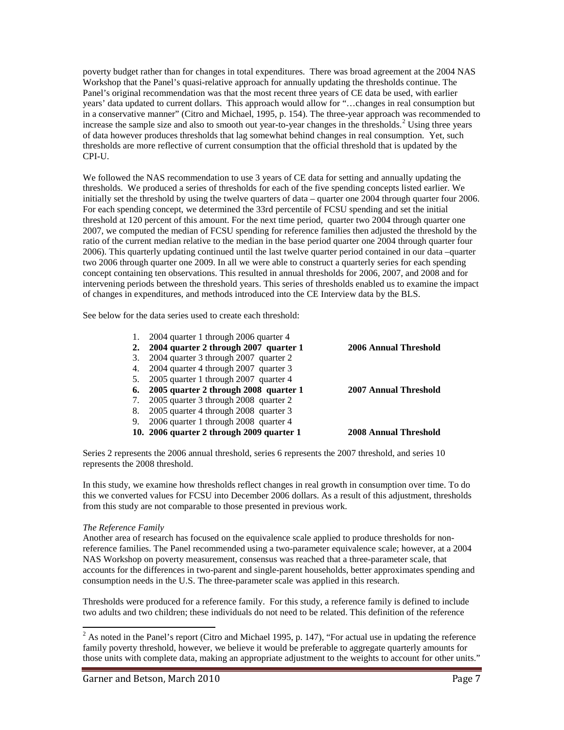poverty budget rather than for changes in total expenditures. There was broad agreement at the 2004 NAS Workshop that the Panel's quasi-relative approach for annually updating the thresholds continue. The Panel's original recommendation was that the most recent three years of CE data be used, with earlier years' data updated to current dollars. This approach would allow for "…changes in real consumption but in a conservative manner" (Citro and Michael, 1995, p. 154). The three-year approach was recommended to increase the sample size and also to smooth out year-to-year changes in the thresholds.<sup>[2](#page-7-0)</sup> Using three years CPI-U. of data however produces thresholds that lag somewhat behind changes in real consumption. Yet, such thresholds are more reflective of current consumption that the official threshold that is updated by the

We followed the NAS recommendation to use 3 years of CE data for setting and annually updating the thresholds. We produced a series of thresholds for each of the five spending concepts listed earlier. We initially set the threshold by using the twelve quarters of data – quarter one 2004 through quarter four 2006. For each spending concept, we determined the 33rd percentile of FCSU spending and set the initial threshold at 120 percent of this amount. For the next time period, quarter two 2004 through quarter one 2007, we computed the median of FCSU spending for reference families then adjusted the threshold by the ratio of the current median relative to the median in the base period quarter one 2004 through quarter four 2006). This quarterly updating continued until the last twelve quarter period contained in our data –quarter two 2006 through quarter one 2009. In all we were able to construct a quarterly series for each spending concept containing ten observations. This resulted in annual thresholds for 2006, 2007, and 2008 and for intervening periods between the threshold years. This series of thresholds enabled us to examine the impact of changes in expenditures, and methods introduced into the CE Interview data by the BLS.

See below for the data series used to create each threshold:

|    | 2004 quarter 1 through 2006 quarter 4     |                              |
|----|-------------------------------------------|------------------------------|
| 2. | 2004 quarter 2 through 2007 quarter 1     | <b>2006 Annual Threshold</b> |
| 3. | 2004 quarter 3 through 2007 quarter 2     |                              |
| 4. | 2004 quarter 4 through 2007 quarter 3     |                              |
| 5. | 2005 quarter 1 through 2007 quarter 4     |                              |
| 6. | 2005 quarter 2 through 2008 quarter 1     | 2007 Annual Threshold        |
| 7. | 2005 quarter 3 through 2008 quarter 2     |                              |
| 8. | 2005 quarter 4 through 2008 quarter 3     |                              |
| 9. | 2006 quarter 1 through 2008 quarter 4     |                              |
|    | 10. 2006 quarter 2 through 2009 quarter 1 | <b>2008 Annual Threshold</b> |
|    |                                           |                              |

Series 2 represents the 2006 annual threshold, series 6 represents the 2007 threshold, and series 10 represents the 2008 threshold.

In this study, we examine how thresholds reflect changes in real growth in consumption over time. To do this we converted values for FCSU into December 2006 dollars. As a result of this adjustment, thresholds from this study are not comparable to those presented in previous work.

#### *The Reference Family*

Another area of research has focused on the equivalence scale applied to produce thresholds for nonreference families. The Panel recommended using a two-parameter equivalence scale; however, at a 2004 NAS Workshop on poverty measurement, consensus was reached that a three-parameter scale, that accounts for the differences in two-parent and single-parent households, better approximates spending and consumption needs in the U.S. The three-parameter scale was applied in this research.

Thresholds were produced for a reference family. For this study, a reference family is defined to include two adults and two children; these individuals do not need to be related. This definition of the reference

<span id="page-7-0"></span> $\overline{a}$  $2^{2}$  As noted in the Panel's report (Citro and Michael 1995, p. 147), "For actual use in updating the reference family poverty threshold, however, we believe it would be preferable to aggregate quarterly amounts for those units with complete data, making an appropriate adjustment to the weights to account for other units."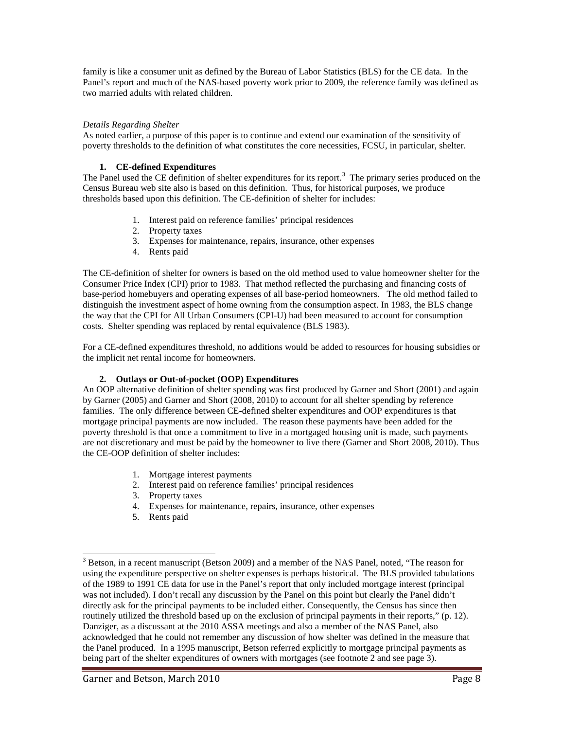family is like a consumer unit as defined by the Bureau of Labor Statistics (BLS) for the CE data. In the Panel's report and much of the NAS-based poverty work prior to 2009, the reference family was defined as two married adults with related children.

#### *Details Regarding Shelter*

As noted earlier, a purpose of this paper is to continue and extend our examination of the sensitivity of poverty thresholds to the definition of what constitutes the core necessities, FCSU, in particular, shelter.

## **1. CE-defined Expenditures**

The Panel used the CE definition of shelter expenditures for its report.<sup>[3](#page-8-0)</sup> The primary series produced on the Census Bureau web site also is based on this definition. Thus, for historical purposes, we produce thresholds based upon this definition. The CE-definition of shelter for includes:

- 1. Interest paid on reference families' principal residences
- 2. Property taxes
- 3. Expenses for maintenance, repairs, insurance, other expenses
- 4. Rents paid

The CE-definition of shelter for owners is based on the old method used to value homeowner shelter for the Consumer Price Index (CPI) prior to 1983. That method reflected the purchasing and financing costs of base-period homebuyers and operating expenses of all base-period homeowners. The old method failed to distinguish the investment aspect of home owning from the consumption aspect. In 1983, the BLS change the way that the CPI for All Urban Consumers (CPI-U) had been measured to account for consumption costs. Shelter spending was replaced by rental equivalence (BLS 1983).

For a CE-defined expenditures threshold, no additions would be added to resources for housing subsidies or the implicit net rental income for homeowners.

#### **2. Outlays or Out-of-pocket (OOP) Expenditures**

An OOP alternative definition of shelter spending was first produced by Garner and Short (2001) and again by Garner (2005) and Garner and Short (2008, 2010) to account for all shelter spending by reference families. The only difference between CE-defined shelter expenditures and OOP expenditures is that mortgage principal payments are now included. The reason these payments have been added for the poverty threshold is that once a commitment to live in a mortgaged housing unit is made, such payments are not discretionary and must be paid by the homeowner to live there (Garner and Short 2008, 2010). Thus the CE-OOP definition of shelter includes:

- 1. Mortgage interest payments
- 2. Interest paid on reference families' principal residences
- 3. Property taxes
- 4. Expenses for maintenance, repairs, insurance, other expenses
- 5. Rents paid

 $\overline{a}$ 

<span id="page-8-0"></span><sup>&</sup>lt;sup>3</sup> Betson, in a recent manuscript (Betson 2009) and a member of the NAS Panel, noted, "The reason for using the expenditure perspective on shelter expenses is perhaps historical. The BLS provided tabulations of the 1989 to 1991 CE data for use in the Panel's report that only included mortgage interest (principal was not included). I don't recall any discussion by the Panel on this point but clearly the Panel didn't directly ask for the principal payments to be included either. Consequently, the Census has since then routinely utilized the threshold based up on the exclusion of principal payments in their reports," (p. 12). Danziger, as a discussant at the 2010 ASSA meetings and also a member of the NAS Panel, also acknowledged that he could not remember any discussion of how shelter was defined in the measure that the Panel produced. In a 1995 manuscript, Betson referred explicitly to mortgage principal payments as being part of the shelter expenditures of owners with mortgages (see footnote 2 and see page 3).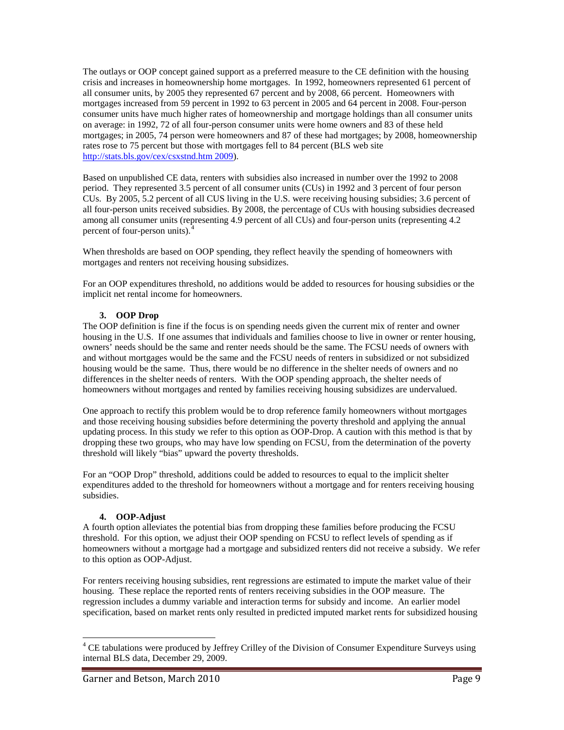The outlays or OOP concept gained support as a preferred measure to the CE definition with the housing crisis and increases in homeownership home mortgages. In 1992, homeowners represented 61 percent of all consumer units, by 2005 they represented 67 percent and by 2008, 66 percent. Homeowners with mortgages increased from 59 percent in 1992 to 63 percent in 2005 and 64 percent in 2008. Four-person consumer units have much higher rates of homeownership and mortgage holdings than all consumer units on average: in 1992, 72 of all four-person consumer units were home owners and 83 of these held mortgages; in 2005, 74 person were homeowners and 87 of these had mortgages; by 2008, homeownership rates rose to 75 percent but those with mortgages fell to 84 percent (BLS web site [http://stats.bls.gov/cex/csxstnd.htm 2009\)](http://stats.bls.gov/cex/csxstnd.htm%202009).

Based on unpublished CE data, renters with subsidies also increased in number over the 1992 to 2008 period. They represented 3.5 percent of all consumer units (CUs) in 1992 and 3 percent of four person CUs. By 2005, 5.2 percent of all CUS living in the U.S. were receiving housing subsidies; 3.6 percent of all four-person units received subsidies. By 2008, the percentage of CUs with housing subsidies decreased among all consumer units (representing 4.9 percent of all CUs) and four-person units (representing 4.2 percent of four-person units).<sup>[4](#page-9-0)</sup>

When thresholds are based on OOP spending, they reflect heavily the spending of homeowners with mortgages and renters not receiving housing subsidizes.

For an OOP expenditures threshold, no additions would be added to resources for housing subsidies or the implicit net rental income for homeowners.

## **3. OOP Drop**

The OOP definition is fine if the focus is on spending needs given the current mix of renter and owner housing in the U.S. If one assumes that individuals and families choose to live in owner or renter housing, owners' needs should be the same and renter needs should be the same. The FCSU needs of owners with and without mortgages would be the same and the FCSU needs of renters in subsidized or not subsidized housing would be the same. Thus, there would be no difference in the shelter needs of owners and no differences in the shelter needs of renters. With the OOP spending approach, the shelter needs of homeowners without mortgages and rented by families receiving housing subsidizes are undervalued.

One approach to rectify this problem would be to drop reference family homeowners without mortgages and those receiving housing subsidies before determining the poverty threshold and applying the annual updating process. In this study we refer to this option as OOP-Drop. A caution with this method is that by dropping these two groups, who may have low spending on FCSU, from the determination of the poverty threshold will likely "bias" upward the poverty thresholds.

For an "OOP Drop" threshold, additions could be added to resources to equal to the implicit shelter expenditures added to the threshold for homeowners without a mortgage and for renters receiving housing subsidies.

#### **4. OOP-Adjust**

A fourth option alleviates the potential bias from dropping these families before producing the FCSU threshold. For this option, we adjust their OOP spending on FCSU to reflect levels of spending as if homeowners without a mortgage had a mortgage and subsidized renters did not receive a subsidy. We refer to this option as OOP-Adjust.

For renters receiving housing subsidies, rent regressions are estimated to impute the market value of their housing. These replace the reported rents of renters receiving subsidies in the OOP measure. The regression includes a dummy variable and interaction terms for subsidy and income. An earlier model specification, based on market rents only resulted in predicted imputed market rents for subsidized housing

<span id="page-9-0"></span> $\overline{a}$  $4$  CE tabulations were produced by Jeffrey Crilley of the Division of Consumer Expenditure Surveys using internal BLS data, December 29, 2009.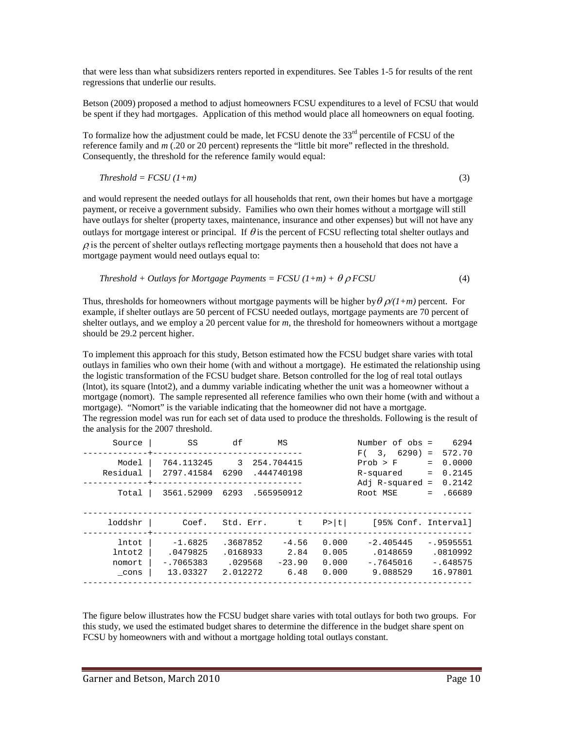that were less than what subsidizers renters reported in expenditures. See Tables 1-5 for results of the rent regressions that underlie our results.

Betson (2009) proposed a method to adjust homeowners FCSU expenditures to a level of FCSU that would be spent if they had mortgages. Application of this method would place all homeowners on equal footing.

To formalize how the adjustment could be made, let FCSU denote the 33<sup>rd</sup> percentile of FCSU of the reference family and *m* (.20 or 20 percent) represents the "little bit more" reflected in the threshold. Consequently, the threshold for the reference family would equal:

$$
Threshold = FCSU (1+m)
$$
\n(3)

and would represent the needed outlays for all households that rent, own their homes but have a mortgage payment, or receive a government subsidy. Families who own their homes without a mortgage will still have outlays for shelter (property taxes, maintenance, insurance and other expenses) but will not have any outlays for mortgage interest or principal. If  $\theta$  is the percent of FCSU reflecting total shelter outlays and  $\rho$  is the percent of shelter outlays reflecting mortgage payments then a household that does not have a mortgage payment would need outlays equal to:

*Threshold* + *Outlays for Mortpage Payments* = 
$$
FCSU(1+m)
$$
 +  $\theta \rho FCSU$  (4)

Thus, thresholds for homeowners without mortgage payments will be higher by  $\theta \rho/(1+m)$  percent. For example, if shelter outlays are 50 percent of FCSU needed outlays, mortgage payments are 70 percent of shelter outlays, and we employ a 20 percent value for *m*, the threshold for homeowners without a mortgage should be 29.2 percent higher.

To implement this approach for this study, Betson estimated how the FCSU budget share varies with total outlays in families who own their home (with and without a mortgage). He estimated the relationship using the logistic transformation of the FCSU budget share. Betson controlled for the log of real total outlays (lntot), its square (lntot2), and a dummy variable indicating whether the unit was a homeowner without a mortgage (nomort). The sample represented all reference families who own their home (with and without a mortgage). "Nomort" is the variable indicating that the homeowner did not have a mortgage. The regression model was run for each set of data used to produce the thresholds. Following is the result of the analysis for the 2007 threshold.

| Source                            | SS                                               | df                                          | ΜS                                  |                                  | Number of obs =<br>3, 6290)<br>F(                  | 6294<br>572.70<br>$=$                              |
|-----------------------------------|--------------------------------------------------|---------------------------------------------|-------------------------------------|----------------------------------|----------------------------------------------------|----------------------------------------------------|
| Model<br>Residual                 | 764.113245<br>2797.41584                         | 3<br>6290                                   | 254.704415<br>.444740198            |                                  | Prob > F<br>R-squared<br>Adj $R$ -squared =        | 0.0000<br>$=$<br>0.2145<br>$=$<br>0.2142           |
| Total                             | 3561.52909                                       | 6293                                        | .565950912                          |                                  | Root MSE                                           | .66689<br>$=$                                      |
| loddshr                           | Coef.                                            | Std. Err.                                   | t.                                  | P>  t                            | [95% Conf. Interval]                               |                                                    |
| lntot<br>lntot2<br>nomort<br>cons | $-1.6825$<br>.0479825<br>$-17065383$<br>13.03327 | .3687852<br>.0168933<br>.029568<br>2.012272 | $-4.56$<br>2.84<br>$-23.90$<br>6.48 | 0.000<br>0.005<br>0.000<br>0.000 | $-2.405445$<br>.0148659<br>$-.7645016$<br>9.088529 | $-0.9595551$<br>.0810992<br>$-.648575$<br>16.97801 |

The figure below illustrates how the FCSU budget share varies with total outlays for both two groups. For this study, we used the estimated budget shares to determine the difference in the budget share spent on FCSU by homeowners with and without a mortgage holding total outlays constant.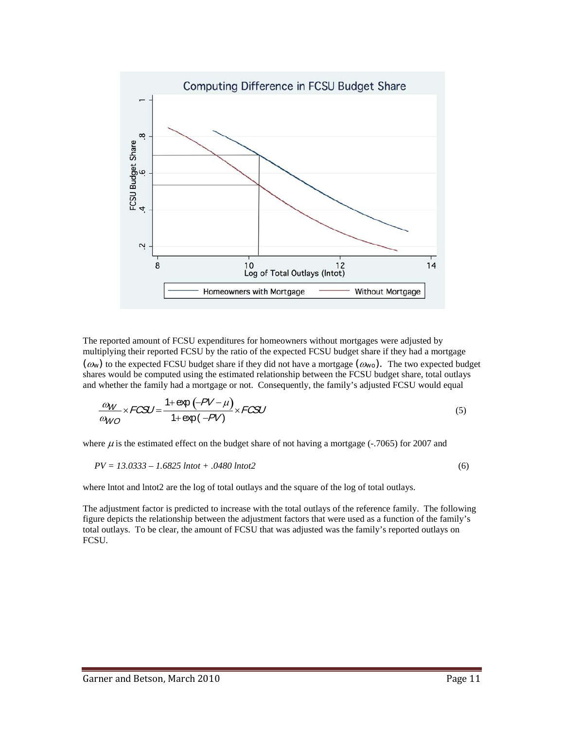

The reported amount of FCSU expenditures for homeowners without mortgages were adjusted by multiplying their reported FCSU by the ratio of the expected FCSU budget share if they had a mortgage *(*ω*w)* to the expected FCSU budget share if they did not have a mortgage *(*ω*wo).* The two expected budget shares would be computed using the estimated relationship between the FCSU budget share, total outlays and whether the family had a mortgage or not. Consequently, the family's adjusted FCSU would equal

$$
\frac{\omega_W}{\omega_{WO}} \times FCSU = \frac{1 + \exp(-PV - \mu)}{1 + \exp(-PV)} \times FCSU
$$
\n(5)

where  $\mu$  is the estimated effect on the budget share of not having a mortgage (-.7065) for 2007 and

$$
PV = 13.0333 - 1.6825 \text{ lntot} + .0480 \text{ lntot2}
$$
\n
$$
(6)
$$

where lntot and lntot2 are the log of total outlays and the square of the log of total outlays.

The adjustment factor is predicted to increase with the total outlays of the reference family. The following figure depicts the relationship between the adjustment factors that were used as a function of the family's total outlays. To be clear, the amount of FCSU that was adjusted was the family's reported outlays on FCSU.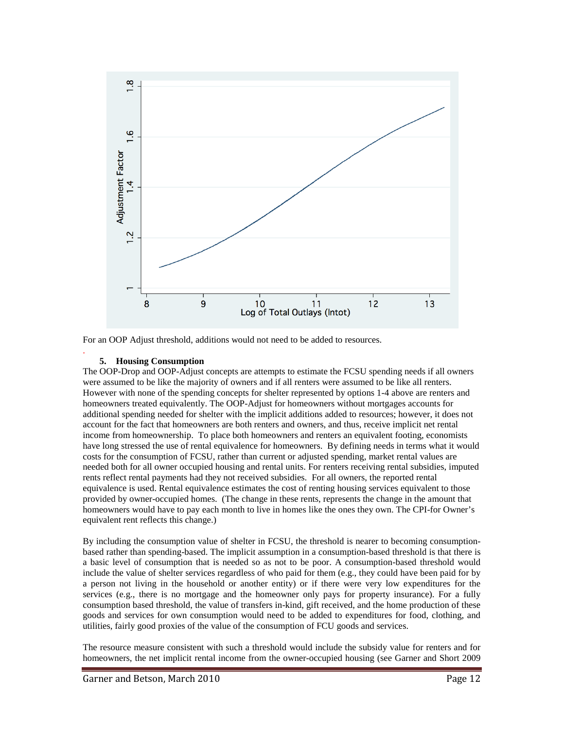

For an OOP Adjust threshold, additions would not need to be added to resources.

#### **5. Housing Consumption**

.

The OOP-Drop and OOP-Adjust concepts are attempts to estimate the FCSU spending needs if all owners were assumed to be like the majority of owners and if all renters were assumed to be like all renters. However with none of the spending concepts for shelter represented by options 1-4 above are renters and homeowners treated equivalently. The OOP-Adjust for homeowners without mortgages accounts for additional spending needed for shelter with the implicit additions added to resources; however, it does not account for the fact that homeowners are both renters and owners, and thus, receive implicit net rental income from homeownership. To place both homeowners and renters an equivalent footing, economists have long stressed the use of rental equivalence for homeowners. By defining needs in terms what it would costs for the consumption of FCSU, rather than current or adjusted spending, market rental values are needed both for all owner occupied housing and rental units. For renters receiving rental subsidies, imputed rents reflect rental payments had they not received subsidies. For all owners, the reported rental equivalence is used. Rental equivalence estimates the cost of renting housing services equivalent to those provided by owner-occupied homes. (The change in these rents, represents the change in the amount that homeowners would have to pay each month to live in homes like the ones they own. The CPI-for Owner's equivalent rent reflects this change.)

By including the consumption value of shelter in FCSU, the threshold is nearer to becoming consumptionbased rather than spending-based. The implicit assumption in a consumption-based threshold is that there is a basic level of consumption that is needed so as not to be poor. A consumption-based threshold would include the value of shelter services regardless of who paid for them (e.g., they could have been paid for by a person not living in the household or another entity) or if there were very low expenditures for the services (e.g., there is no mortgage and the homeowner only pays for property insurance). For a fully consumption based threshold, the value of transfers in-kind, gift received, and the home production of these goods and services for own consumption would need to be added to expenditures for food, clothing, and utilities, fairly good proxies of the value of the consumption of FCU goods and services.

The resource measure consistent with such a threshold would include the subsidy value for renters and for homeowners, the net implicit rental income from the owner-occupied housing (see Garner and Short 2009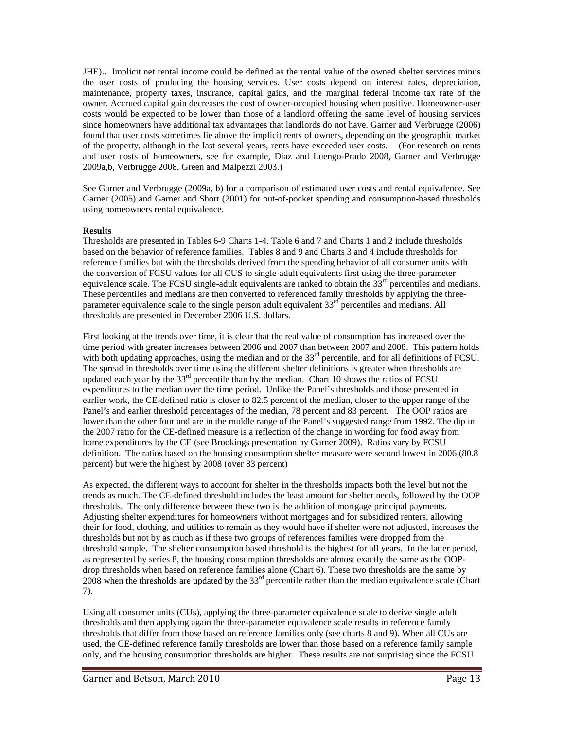JHE).. Implicit net rental income could be defined as the rental value of the owned shelter services minus the user costs of producing the housing services. User costs depend on interest rates, depreciation, maintenance, property taxes, insurance, capital gains, and the marginal federal income tax rate of the owner. Accrued capital gain decreases the cost of owner-occupied housing when positive. Homeowner-user costs would be expected to be lower than those of a landlord offering the same level of housing services since homeowners have additional tax advantages that landlords do not have. Garner and Verbrugge (2006) found that user costs sometimes lie above the implicit rents of owners, depending on the geographic market of the property, although in the last several years, rents have exceeded user costs. (For research on rents and user costs of homeowners, see for example, Diaz and Luengo-Prado 2008, Garner and Verbrugge 2009a,b, Verbrugge 2008, Green and Malpezzi 2003.)

See Garner and Verbrugge (2009a, b) for a comparison of estimated user costs and rental equivalence. See Garner (2005) and Garner and Short (2001) for out-of-pocket spending and consumption-based thresholds using homeowners rental equivalence.

## **Results**

Thresholds are presented in Tables 6-9 Charts 1-4. Table 6 and 7 and Charts 1 and 2 include thresholds based on the behavior of reference families. Tables 8 and 9 and Charts 3 and 4 include thresholds for reference families but with the thresholds derived from the spending behavior of all consumer units with the conversion of FCSU values for all CUS to single-adult equivalents first using the three-parameter equivalence scale. The FCSU single-adult equivalents are ranked to obtain the  $33<sup>rd</sup>$  percentiles and medians. These percentiles and medians are then converted to referenced family thresholds by applying the threeparameter equivalence scale to the single person adult equivalent 33<sup>rd</sup> percentiles and medians. All thresholds are presented in December 2006 U.S. dollars.

First looking at the trends over time, it is clear that the real value of consumption has increased over the time period with greater increases between 2006 and 2007 than between 2007 and 2008. This pattern holds with both updating approaches, using the median and or the  $33<sup>rd</sup>$  percentile, and for all definitions of FCSU. The spread in thresholds over time using the different shelter definitions is greater when thresholds are updated each year by the  $33<sup>rd</sup>$  percentile than by the median. Chart 10 shows the ratios of FCSU expenditures to the median over the time period. Unlike the Panel's thresholds and those presented in earlier work, the CE-defined ratio is closer to 82.5 percent of the median, closer to the upper range of the Panel's and earlier threshold percentages of the median, 78 percent and 83 percent. The OOP ratios are lower than the other four and are in the middle range of the Panel's suggested range from 1992. The dip in the 2007 ratio for the CE-defined measure is a reflection of the change in wording for food away from home expenditures by the CE (see Brookings presentation by Garner 2009). Ratios vary by FCSU definition. The ratios based on the housing consumption shelter measure were second lowest in 2006 (80.8 percent) but were the highest by 2008 (over 83 percent)

As expected, the different ways to account for shelter in the thresholds impacts both the level but not the trends as much. The CE-defined threshold includes the least amount for shelter needs, followed by the OOP thresholds. The only difference between these two is the addition of mortgage principal payments. Adjusting shelter expenditures for homeowners without mortgages and for subsidized renters, allowing their for food, clothing, and utilities to remain as they would have if shelter were not adjusted, increases the thresholds but not by as much as if these two groups of references families were dropped from the threshold sample. The shelter consumption based threshold is the highest for all years. In the latter period, as represented by series 8, the housing consumption thresholds are almost exactly the same as the OOPdrop thresholds when based on reference families alone (Chart 6). These two thresholds are the same by 2008 when the thresholds are updated by the  $33<sup>rd</sup>$  percentile rather than the median equivalence scale (Chart 7).

Using all consumer units (CUs), applying the three-parameter equivalence scale to derive single adult thresholds and then applying again the three-parameter equivalence scale results in reference family thresholds that differ from those based on reference families only (see charts 8 and 9). When all CUs are used, the CE-defined reference family thresholds are lower than those based on a reference family sample only, and the housing consumption thresholds are higher. These results are not surprising since the FCSU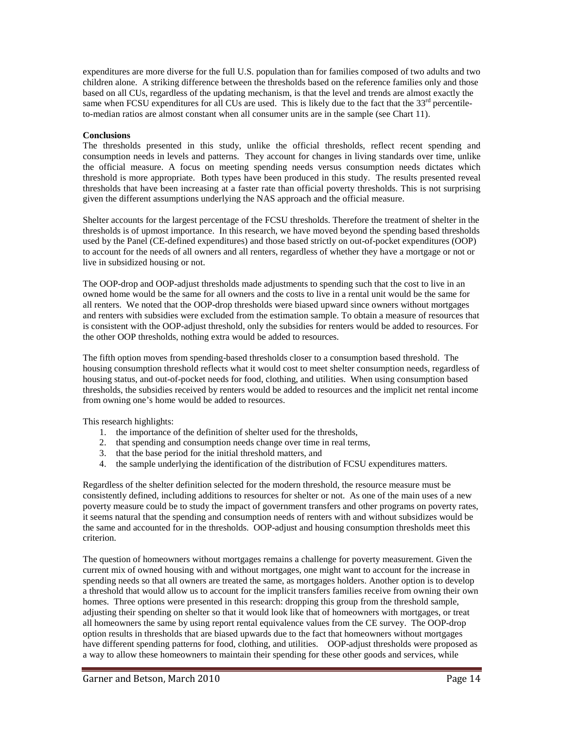expenditures are more diverse for the full U.S. population than for families composed of two adults and two children alone. A striking difference between the thresholds based on the reference families only and those based on all CUs, regardless of the updating mechanism, is that the level and trends are almost exactly the same when FCSU expenditures for all CUs are used. This is likely due to the fact that the  $33<sup>rd</sup>$  percentileto-median ratios are almost constant when all consumer units are in the sample (see Chart 11).

#### **Conclusions**

The thresholds presented in this study, unlike the official thresholds, reflect recent spending and consumption needs in levels and patterns. They account for changes in living standards over time, unlike the official measure. A focus on meeting spending needs versus consumption needs dictates which threshold is more appropriate. Both types have been produced in this study. The results presented reveal thresholds that have been increasing at a faster rate than official poverty thresholds. This is not surprising given the different assumptions underlying the NAS approach and the official measure.

Shelter accounts for the largest percentage of the FCSU thresholds. Therefore the treatment of shelter in the thresholds is of upmost importance. In this research, we have moved beyond the spending based thresholds used by the Panel (CE-defined expenditures) and those based strictly on out-of-pocket expenditures (OOP) to account for the needs of all owners and all renters, regardless of whether they have a mortgage or not or live in subsidized housing or not.

The OOP-drop and OOP-adjust thresholds made adjustments to spending such that the cost to live in an owned home would be the same for all owners and the costs to live in a rental unit would be the same for all renters. We noted that the OOP-drop thresholds were biased upward since owners without mortgages and renters with subsidies were excluded from the estimation sample. To obtain a measure of resources that is consistent with the OOP-adjust threshold, only the subsidies for renters would be added to resources. For the other OOP thresholds, nothing extra would be added to resources.

The fifth option moves from spending-based thresholds closer to a consumption based threshold. The housing consumption threshold reflects what it would cost to meet shelter consumption needs, regardless of housing status, and out-of-pocket needs for food, clothing, and utilities. When using consumption based thresholds, the subsidies received by renters would be added to resources and the implicit net rental income from owning one's home would be added to resources.

This research highlights:

- 1. the importance of the definition of shelter used for the thresholds,
- 2. that spending and consumption needs change over time in real terms,
- 3. that the base period for the initial threshold matters, and
- 4. the sample underlying the identification of the distribution of FCSU expenditures matters.

Regardless of the shelter definition selected for the modern threshold, the resource measure must be consistently defined, including additions to resources for shelter or not. As one of the main uses of a new poverty measure could be to study the impact of government transfers and other programs on poverty rates, it seems natural that the spending and consumption needs of renters with and without subsidizes would be the same and accounted for in the thresholds. OOP-adjust and housing consumption thresholds meet this criterion.

The question of homeowners without mortgages remains a challenge for poverty measurement. Given the current mix of owned housing with and without mortgages, one might want to account for the increase in spending needs so that all owners are treated the same, as mortgages holders. Another option is to develop a threshold that would allow us to account for the implicit transfers families receive from owning their own homes. Three options were presented in this research: dropping this group from the threshold sample, adjusting their spending on shelter so that it would look like that of homeowners with mortgages, or treat all homeowners the same by using report rental equivalence values from the CE survey. The OOP-drop option results in thresholds that are biased upwards due to the fact that homeowners without mortgages have different spending patterns for food, clothing, and utilities. OOP-adjust thresholds were proposed as a way to allow these homeowners to maintain their spending for these other goods and services, while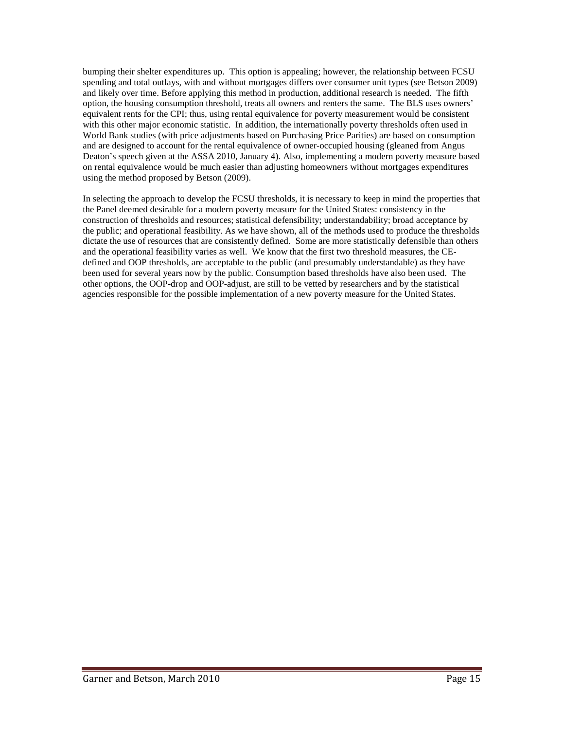bumping their shelter expenditures up. This option is appealing; however, the relationship between FCSU spending and total outlays, with and without mortgages differs over consumer unit types (see Betson 2009) and likely over time. Before applying this method in production, additional research is needed. The fifth option, the housing consumption threshold, treats all owners and renters the same. The BLS uses owners' equivalent rents for the CPI; thus, using rental equivalence for poverty measurement would be consistent with this other major economic statistic. In addition, the internationally poverty thresholds often used in World Bank studies (with price adjustments based on Purchasing Price Parities) are based on consumption and are designed to account for the rental equivalence of owner-occupied housing (gleaned from Angus Deaton's speech given at the ASSA 2010, January 4). Also, implementing a modern poverty measure based on rental equivalence would be much easier than adjusting homeowners without mortgages expenditures using the method proposed by Betson (2009).

In selecting the approach to develop the FCSU thresholds, it is necessary to keep in mind the properties that the Panel deemed desirable for a modern poverty measure for the United States: consistency in the construction of thresholds and resources; statistical defensibility; understandability; broad acceptance by the public; and operational feasibility. As we have shown, all of the methods used to produce the thresholds dictate the use of resources that are consistently defined. Some are more statistically defensible than others and the operational feasibility varies as well. We know that the first two threshold measures, the CEdefined and OOP thresholds, are acceptable to the public (and presumably understandable) as they have been used for several years now by the public. Consumption based thresholds have also been used. The other options, the OOP-drop and OOP-adjust, are still to be vetted by researchers and by the statistical agencies responsible for the possible implementation of a new poverty measure for the United States.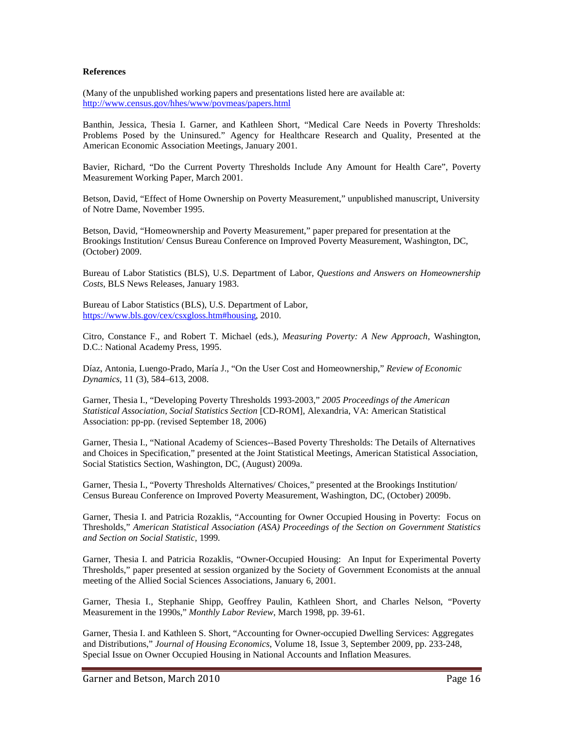#### **References**

(Many of the unpublished working papers and presentations listed here are available at: <http://www.census.gov/hhes/www/povmeas/papers.html>

Banthin, Jessica, Thesia I. Garner, and Kathleen Short, "Medical Care Needs in Poverty Thresholds: Problems Posed by the Uninsured." Agency for Healthcare Research and Quality, Presented at the American Economic Association Meetings, January 2001.

Bavier, Richard, "Do the Current Poverty Thresholds Include Any Amount for Health Care", Poverty Measurement Working Paper, March 2001.

Betson, David, "Effect of Home Ownership on Poverty Measurement," unpublished manuscript, University of Notre Dame, November 1995.

Betson, David, "Homeownership and Poverty Measurement," paper prepared for presentation at the Brookings Institution/ Census Bureau Conference on Improved Poverty Measurement, Washington, DC, (October) 2009.

Bureau of Labor Statistics (BLS), U.S. Department of Labor, *Questions and Answers on Homeownership Costs*, BLS News Releases, January 1983.

Bureau of Labor Statistics (BLS), U.S. Department of Labor, [https://www.bls.gov/cex/csxgloss.htm#housing,](http://www.bls.gov/cex/csxgloss.htm#housing) 2010.

Citro, Constance F., and Robert T. Michael (eds.), *Measuring Poverty: A New Approach*, Washington, D.C.: National Academy Press, 1995.

Díaz, Antonia, Luengo-Prado, María J., "On the User Cost and Homeownership," *Review of Economic Dynamics,* 11 (3), 584–613, 2008.

Garner, Thesia I., "Developing Poverty Thresholds 1993-2003," *2005 Proceedings of the American Statistical Association, Social Statistics Section* [CD-ROM], Alexandria, VA: American Statistical Association: pp-pp. (revised September 18, 2006)

Garner, Thesia I., "National Academy of Sciences--Based Poverty Thresholds: The Details of Alternatives and Choices in Specification," presented at the Joint Statistical Meetings, American Statistical Association, Social Statistics Section, Washington, DC, (August) 2009a.

Garner, Thesia I., "Poverty Thresholds Alternatives/ Choices," presented at the Brookings Institution/ Census Bureau Conference on Improved Poverty Measurement, Washington, DC, (October) 2009b.

Garner, Thesia I. and Patricia Rozaklis, "Accounting for Owner Occupied Housing in Poverty: Focus on Thresholds," *American Statistical Association (ASA) Proceedings of the Section on Government Statistics and Section on Social Statistic,* 1999*.* 

Garner, Thesia I. and Patricia Rozaklis, "Owner-Occupied Housing: An Input for Experimental Poverty Thresholds," paper presented at session organized by the Society of Government Economists at the annual meeting of the Allied Social Sciences Associations, January 6, 2001*.*

Garner, Thesia I., Stephanie Shipp, Geoffrey Paulin, Kathleen Short, and Charles Nelson, "Poverty Measurement in the 1990s," *Monthly Labor Review*, March 1998, pp. 39-61.

Garner, Thesia I. and Kathleen S. Short, "Accounting for Owner-occupied Dwelling Services: Aggregates and Distributions," *[Journal of Housing Economics](http://www.sciencedirect.com/science/journal/10511377)*, [Volume 18, Issue 3,](http://www.sciencedirect.com/science?_ob=PublicationURL&_tockey=%23TOC%236885%232009%23999819996%231530105%23FLA%23&_cdi=6885&_pubType=J&view=c&_auth=y&_acct=C000050221&_version=1&_urlVersion=0&_userid=10&md5=c827c65fe4f58da86d9077ef8288da87) September 2009, pp. 233-248, Special Issue on Owner Occupied Housing in National Accounts and Inflation Measures.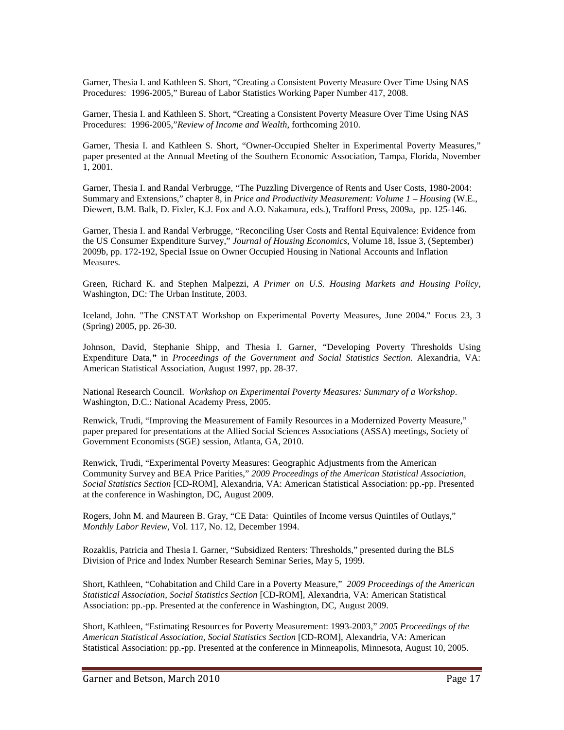Garner, Thesia I. and Kathleen S. Short, "Creating a Consistent Poverty Measure Over Time Using NAS Procedures: 1996-2005," Bureau of Labor Statistics Working Paper Number 417, 2008.

Garner, Thesia I. and Kathleen S. Short, "Creating a Consistent Poverty Measure Over Time Using NAS Procedures: 1996-2005,"*Review of Income and Wealth*, forthcoming 2010.

Garner, Thesia I. and Kathleen S. Short, "Owner-Occupied Shelter in Experimental Poverty Measures," paper presented at the Annual Meeting of the Southern Economic Association, Tampa, Florida, November 1, 2001.

Garner, Thesia I. and Randal Verbrugge, "The Puzzling Divergence of Rents and User Costs, 1980-2004: Summary and Extensions," chapter 8, in *Price and Productivity Measurement: Volume 1 – Housing* (W.E., Diewert, B.M. Balk, D. Fixler, K.J. Fox and A.O. Nakamura, eds.), Trafford Press, 2009a, pp. 125-146.

Garner, Thesia I. and Randal Verbrugge, "Reconciling User Costs and Rental Equivalence: Evidence from the US Consumer Expenditure Survey," *[Journal of Housing Economics](http://www.sciencedirect.com/science/journal/10511377)*, [Volume 18, Issue 3,](http://www.sciencedirect.com/science?_ob=PublicationURL&_tockey=%23TOC%236885%232009%23999819996%231530105%23FLA%23&_cdi=6885&_pubType=J&view=c&_auth=y&_acct=C000050221&_version=1&_urlVersion=0&_userid=10&md5=c827c65fe4f58da86d9077ef8288da87) (September) 2009b, pp. 172-192, Special Issue on Owner Occupied Housing in National Accounts and Inflation Measures.

Green, Richard K. and Stephen Malpezzi, *A Primer on U.S. Housing Markets and Housing Policy*, Washington, DC: The Urban Institute, 2003.

Iceland, John. "The CNSTAT Workshop on Experimental Poverty Measures, June 2004." Focus 23, 3 (Spring) 2005, pp. 26-30.

Johnson, David, Stephanie Shipp, and Thesia I. Garner, "Developing Poverty Thresholds Using Expenditure Data,*"* in *Proceedings of the Government and Social Statistics Section.* Alexandria, VA: American Statistical Association, August 1997, pp. 28-37.

National Research Council. *Workshop on Experimental Poverty Measures: Summary of a Workshop*. Washington, D.C.: National Academy Press, 2005.

Renwick, Trudi, "Improving the Measurement of Family Resources in a Modernized Poverty Measure," paper prepared for presentations at the Allied Social Sciences Associations (ASSA) meetings, Society of Government Economists (SGE) session, Atlanta, GA, 2010.

Renwick, Trudi, "Experimental Poverty Measures: Geographic Adjustments from the American Community Survey and BEA Price Parities," *2009 Proceedings of the American Statistical Association, Social Statistics Section* [CD-ROM], Alexandria, VA: American Statistical Association: pp.-pp. Presented at the conference in Washington, DC, August 2009.

Rogers, John M. and Maureen B. Gray, "CE Data: Quintiles of Income versus Quintiles of Outlays," *Monthly Labor Review*, Vol. 117, No. 12, December 1994.

Rozaklis, Patricia and Thesia I. Garner, "Subsidized Renters: Thresholds," presented during the BLS Division of Price and Index Number Research Seminar Series, May 5, 1999.

Short, Kathleen, "Cohabitation and Child Care in a Poverty Measure," *2009 Proceedings of the American Statistical Association, Social Statistics Section* [CD-ROM], Alexandria, VA: American Statistical Association: pp.-pp. Presented at the conference in Washington, DC, August 2009.

Short, Kathleen, "Estimating Resources for Poverty Measurement: 1993-2003," *2005 Proceedings of the American Statistical Association, Social Statistics Section* [CD-ROM], Alexandria, VA: American Statistical Association: pp.-pp. Presented at the conference in Minneapolis, Minnesota, August 10, 2005.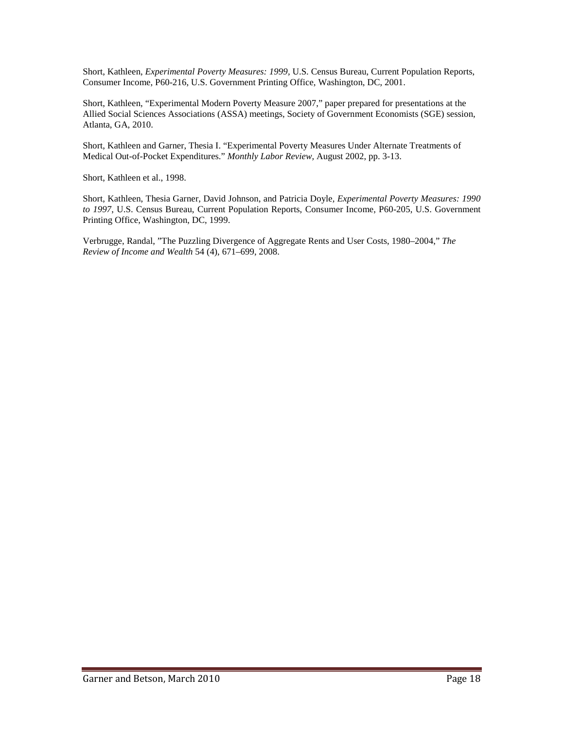Short, Kathleen, *Experimental Poverty Measures: 1999,* U.S. Census Bureau, Current Population Reports, Consumer Income, P60-216, U.S. Government Printing Office, Washington, DC, 2001.

Short, Kathleen, "Experimental Modern Poverty Measure 2007," paper prepared for presentations at the Allied Social Sciences Associations (ASSA) meetings, Society of Government Economists (SGE) session, Atlanta, GA, 2010.

Short, Kathleen and Garner, Thesia I. "Experimental Poverty Measures Under Alternate Treatments of Medical Out-of-Pocket Expenditures." *Monthly Labor Review,* August 2002, pp. 3-13.

Short, Kathleen et al., 1998.

Short, Kathleen, Thesia Garner, David Johnson, and Patricia Doyle*, Experimental Poverty Measures: 1990 to 1997*, U.S. Census Bureau, Current Population Reports, Consumer Income, P60-205, U.S. Government Printing Office, Washington, DC, 1999.

Verbrugge, Randal, "The Puzzling Divergence of Aggregate Rents and User Costs, 1980–2004," *The Review of Income and Wealth* 54 (4), 671–699, 2008.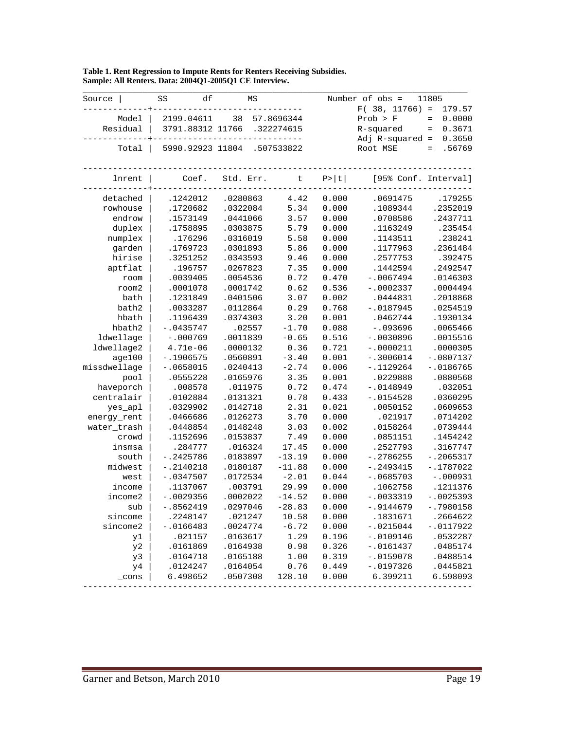| Source       | df<br>SS         | ΜS        |            |        | Number of obs =      | 11805              |
|--------------|------------------|-----------|------------|--------|----------------------|--------------------|
|              |                  |           |            |        | $F(38, 11766) =$     | 179.57             |
| Model        | 2199.04611       | 38        | 57.8696344 |        | Prob > F             | 0.0000<br>$\equiv$ |
| Residual     | 3791.88312 11766 |           | .322274615 |        | R-squared            | 0.3671<br>$\equiv$ |
|              |                  |           |            |        | $Adj$ R-squared =    | 0.3650             |
| Total        | 5990.92923 11804 |           | .507533822 |        | Root MSE             | .56769<br>$=$      |
| lnrent       | Coef.            | Std. Err. | $\sf t$    | P >  t | [95% Conf. Interval] |                    |
|              |                  |           |            |        |                      |                    |
| detached     | .1242012         | .0280863  | 4.42       | 0.000  | .0691475             | .179255            |
| rowhouse     | .1720682         | .0322084  | 5.34       | 0.000  | .1089344             | .2352019           |
| endrow       | .1573149         | .0441066  | 3.57       | 0.000  | .0708586             | .2437711           |
| duplex       | .1758895         | .0303875  | 5.79       | 0.000  | .1163249             | .235454            |
| numplex      | .176296          | .0316019  | 5.58       | 0.000  | .1143511             | .238241            |
| garden       | .1769723         | .0301893  | 5.86       | 0.000  | .1177963             | .2361484           |
| hirise       | .3251252         | .0343593  | 9.46       | 0.000  | .2577753             | .392475            |
| aptflat      | .196757          | .0267823  | 7.35       | 0.000  | .1442594             | .2492547           |
| room         | .0039405         | .0054536  | 0.72       | 0.470  | $-.0067494$          | .0146303           |
| room2        | .0001078         | .0001742  | 0.62       | 0.536  | $-.0002337$          | .0004494           |
| bath         | .1231849         | .0401506  | 3.07       | 0.002  | .0444831             | .2018868           |
| bath2        | .0033287         | .0112864  | 0.29       | 0.768  | $-.0187945$          | .0254519           |
| hbath        | .1196439         | .0374303  | 3.20       | 0.001  | .0462744             | .1930134           |
| hbath2       | $-.0435747$      | .02557    | $-1.70$    | 0.088  | $-.093696$           | .0065466           |
| ldwellage    | $-.000769$       | .0011839  | $-0.65$    | 0.516  | $-.0030896$          | .0015516           |
| ldwellage2   | $4.71e-06$       | .0000132  | 0.36       | 0.721  | $-.0000211$          | .0000305           |
| aqe100       | $-.1906575$      | .0560891  | $-3.40$    | 0.001  | $-.3006014$          | $-.0807137$        |
| missdwellage | $-.0658015$      | .0240413  | $-2.74$    | 0.006  | $-.1129264$          | $-.0186765$        |
| pool         | .0555228         | .0165976  | 3.35       | 0.001  | .0229888             | .0880568           |
| haveporch    | .008578          | .011975   | 0.72       | 0.474  | $-.0148949$          | .032051            |
| centralair   | .0102884         | .0131321  | 0.78       | 0.433  | $-.0154528$          | .0360295           |
| yes_apl      | .0329902         | .0142718  | 2.31       | 0.021  | .0050152             | .0609653           |
| energy_rent  | .0466686         | .0126273  | 3.70       | 0.000  | .021917              | .0714202           |
| water_trash  | .0448854         | .0148248  | 3.03       | 0.002  | .0158264             | .0739444           |
| crowd        | .1152696         | .0153837  | 7.49       | 0.000  | .0851151             | .1454242           |
| insmsa       | .284777          | .016324   | 17.45      | 0.000  | .2527793             | .3167747           |
| south        | $-.2425786$      | .0183897  | $-13.19$   | 0.000  | $-.2786255$          | $-.2065317$        |
| midwest      | $-.2140218$      | .0180187  | $-11.88$   | 0.000  | $-.2493415$          | $-.1787022$        |
| west         | $-.0347507$      | .0172534  | $-2.01$    | 0.044  | $-.0685703$          | $-.000931$         |
| income       | .1137067         | .003791   | 29.99      | 0.000  | .1062758             | .1211376           |
| income2      | $-.0029356$      | .0002022  | $-14.52$   | 0.000  | $-.0033319$          | $-.0025393$        |
| sub          | $-.8562419$      | .0297046  | $-28.83$   | 0.000  | $-.9144679$          | $-.7980158$        |
| sincome      | .2248147         | .021247   | 10.58      | 0.000  | .1831671             | .2664622           |
| sincome2     | $-.0166483$      | .0024774  | $-6.72$    | 0.000  | $-.0215044$          | $-.0117922$        |
| y1           | .021157          | .0163617  | 1.29       | 0.196  | $-.0109146$          | .0532287           |
| y2           | .0161869         | .0164938  | 0.98       | 0.326  | $-.0161437$          | .0485174           |
| y3           | .0164718         | .0165188  | 1.00       | 0.319  | $-.0159078$          | .0488514           |
| y4           | .0124247         | .0164054  | 0.76       | 0.449  | $-.0197326$          | .0445821           |
| $\_cons$     | 6.498652         | .0507308  | 128.10     | 0.000  | 6.399211             | 6.598093           |

| Table 1. Rent Regression to Impute Rents for Renters Receiving Subsidies. |
|---------------------------------------------------------------------------|
| Sample: All Renters. Data: 2004Q1-2005Q1 CE Interview.                    |

an i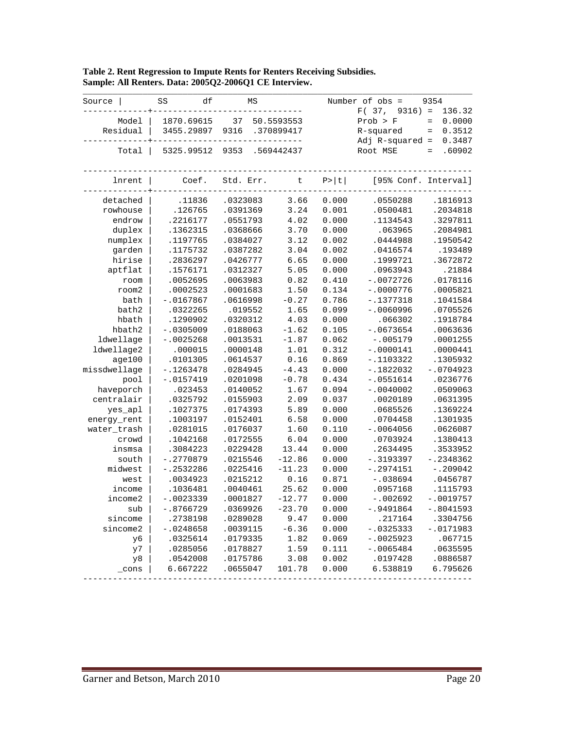| Source          | SS<br>df    | ΜS        |            |        | Number of obs =      | 9354                      |
|-----------------|-------------|-----------|------------|--------|----------------------|---------------------------|
|                 |             |           |            |        | F(37,<br>$9316$ =    | 136.32                    |
| Model           | 1870.69615  | 37        | 50.5593553 |        | Prob > F             | 0.0000<br>$\equiv$        |
| Residual        | 3455.29897  | 9316      | .370899417 |        | R-squared            | 0.3512<br>$\quad \  \  =$ |
|                 |             |           |            |        | $Adj$ R-squared =    | 0.3487                    |
| Total           | 5325.99512  | 9353      | .569442437 |        | Root MSE             | .60902<br>$=$             |
| lnrent          | Coef.       | Std. Err. | $\sf t$    | P >  t | [95% Conf. Interval] |                           |
| detached        | .11836      | .0323083  | 3.66       | 0.000  | .0550288             | .1816913                  |
| rowhouse        | .126765     | .0391369  | 3.24       | 0.001  | .0500481             | .2034818                  |
| endrow          | .2216177    | .0551793  | 4.02       | 0.000  | .1134543             | .3297811                  |
| duplex          | .1362315    | .0368666  | 3.70       | 0.000  | .063965              | .2084981                  |
| numplex         | .1197765    | .0384027  | 3.12       | 0.002  | .0444988             | .1950542                  |
| garden          | .1175732    | .0387282  | 3.04       | 0.002  | .0416574             | .193489                   |
| hirise          | .2836297    | .0426777  | 6.65       | 0.000  | .1999721             | .3672872                  |
| aptflat         | .1576171    | .0312327  | 5.05       | 0.000  | .0963943             | .21884                    |
| room            | .0052695    | .0063983  | 0.82       | 0.410  | $-.0072726$          | .0178116                  |
| room2           | .0002523    | .0001683  | 1.50       | 0.134  | $-.0000776$          | .0005821                  |
| bath            | $-.0167867$ | .0616998  | $-0.27$    | 0.786  | $-.1377318$          | .1041584                  |
| bath2           | .0322265    | .019552   | 1.65       | 0.099  | $-.0060996$          | .0705526                  |
| hbath           | .1290902    | .0320312  | 4.03       | 0.000  | .066302              | .1918784                  |
| hbath2          | $-.0305009$ | .0188063  | $-1.62$    | 0.105  | $-.0673654$          | .0063636                  |
| ldwellage       | $-.0025268$ | .0013531  | $-1.87$    | 0.062  | $-.005179$           | .0001255                  |
| ldwellage2      | .000015     | .0000148  | 1.01       | 0.312  | $-.0000141$          | .0000441                  |
| aqe100          | .0101305    | .0614537  | 0.16       | 0.869  | $-.1103322$          | .1305932                  |
| missdwellage    | $-.1263478$ | .0284945  | $-4.43$    | 0.000  | $-.1822032$          | $-.0704923$               |
| pool            | $-.0157419$ | .0201098  | $-0.78$    | 0.434  | $-.0551614$          | .0236776                  |
| haveporch       | .023453     | .0140052  | 1.67       | 0.094  | $-.0040002$          | .0509063                  |
| centralair      | .0325792    | .0155903  | 2.09       | 0.037  | .0020189             | .0631395                  |
| yes_apl         | .1027375    | .0174393  | 5.89       | 0.000  | .0685526             | .1369224                  |
| energy_rent     | .1003197    | .0152401  | 6.58       | 0.000  | .0704458             | .1301935                  |
| water_trash     | .0281015    | .0176037  | 1.60       | 0.110  | $-.0064056$          | .0626087                  |
| crowd           | .1042168    | .0172555  | 6.04       | 0.000  | .0703924             | .1380413                  |
| insmsa          | .3084223    | .0229428  | 13.44      | 0.000  | .2634495             | .3533952                  |
| south           | $-.2770879$ | .0215546  | $-12.86$   | 0.000  | $-.3193397$          | $-.2348362$               |
| midwest         | $-.2532286$ | .0225416  | $-11.23$   | 0.000  | $-.2974151$          | $-.209042$                |
| west            | .0034923    | .0215212  | 0.16       | 0.871  | $-.038694$           | .0456787                  |
| income          | .1036481    | .0040461  | 25.62      | 0.000  | .0957168             | .1115793                  |
| income2         | $-10023339$ | .0001827  | $-12.77$   | 0.000  | $-.002692$           | $-.0019757$               |
| sub             | $-.8766729$ | .0369926  | $-23.70$   | 0.000  | $-.9491864$          | $-.8041593$               |
| sincome         | .2738198    | .0289028  | 9.47       | 0.000  | .217164              | .3304756                  |
| sincome2        | $-.0248658$ | .0039115  | $-6.36$    | 0.000  | $-.0325333$          | $-.0171983$               |
| yб              | .0325614    | .0179335  | 1.82       | 0.069  | $-.0025923$          | .067715                   |
| y7              | .0285056    | .0178827  | 1.59       | 0.111  | $-.0065484$          | .0635595                  |
| y8              | .0542008    | .0175786  | 3.08       | 0.002  | .0197428             | .0886587                  |
| $_{\rm \_cons}$ | 6.667222    | .0655047  | 101.78     | 0.000  | 6.538819             | 6.795626                  |
|                 |             |           |            |        |                      |                           |

## **Table 2. Rent Regression to Impute Rents for Renters Receiving Subsidies. Sample: All Renters. Data: 2005Q2-2006Q1 CE Interview.**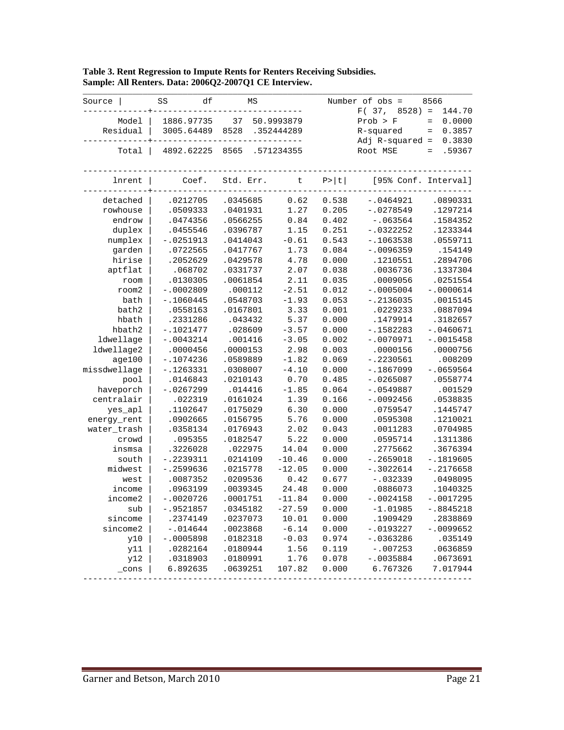| Source       | SS<br>df    | ΜS        |            |        | Number of obs =      | 8566                      |
|--------------|-------------|-----------|------------|--------|----------------------|---------------------------|
|              |             |           |            |        | F(37,<br>$8528$ =    | 144.70                    |
| Model        | 1886.97735  | 37        | 50.9993879 |        | Prob > F             | 0.0000<br>$\equiv$        |
| Residual     | 3005.64489  | 8528      | .352444289 |        | R-squared            | 0.3857<br>$\quad \  \  =$ |
|              |             |           |            |        | $Adj$ R-squared =    | 0.3830                    |
| Total        | 4892.62225  | 8565      | .571234355 |        | Root MSE             | .59367<br>$=$             |
| lnrent       | Coef.       | Std. Err. | $\sf t$    | P >  t | [95% Conf. Interval] |                           |
| detached     | .0212705    | .0345685  | 0.62       | 0.538  | $-.0464921$          | .0890331                  |
| rowhouse     | .0509333    | .0401931  | 1.27       | 0.205  | $-.0278549$          | .1297214                  |
| endrow       | .0474356    | .0566255  | 0.84       | 0.402  | $-.063564$           | .1584352                  |
| duplex       | .0455546    | .0396787  | 1.15       | 0.251  | $-.0322252$          | .1233344                  |
| numplex      | $-.0251913$ | .0414043  | $-0.61$    | 0.543  | $-.1063538$          | .0559711                  |
| garden       | .0722565    | .0417767  | 1.73       | 0.084  | $-.0096359$          | .154149                   |
| hirise       | .2052629    | .0429578  | 4.78       | 0.000  | .1210551             | .2894706                  |
| aptflat      | .068702     | .0331737  | 2.07       | 0.038  | .0036736             | .1337304                  |
| room         | .0130305    | .0061854  | 2.11       | 0.035  | .0009056             | .0251554                  |
| room2        | $-.0002809$ | .000112   | $-2.51$    | 0.012  | $-.0005004$          | $-.0000614$               |
| bath         | $-.1060445$ | .0548703  | $-1.93$    | 0.053  | $-.2136035$          | .0015145                  |
| bath2        | .0558163    | .0167801  | 3.33       | 0.001  | .0229233             | .0887094                  |
| hbath        | .2331286    | .043432   | 5.37       | 0.000  | .1479914             | .3182657                  |
| hbath2       | $-.1021477$ | .028609   | $-3.57$    | 0.000  | $-.1582283$          | $-.0460671$               |
| ldwellage    | $-.0043214$ | .001416   | $-3.05$    | 0.002  | $-.0070971$          | $-.0015458$               |
| ldwellage2   | .0000456    | .0000153  | 2.98       | 0.003  | .0000156             | .0000756                  |
| aqe100       | $-.1074236$ | .0589889  | $-1.82$    | 0.069  | $-.2230561$          | .008209                   |
| missdwellage | $-.1263331$ | .0308007  | $-4.10$    | 0.000  | $-.1867099$          | $-.0659564$               |
| pool         | .0146843    | .0210143  | 0.70       | 0.485  | $-.0265087$          | .0558774                  |
| haveporch    | $-.0267299$ | .014416   | $-1.85$    | 0.064  | $-.0549887$          | .001529                   |
| centralair   | .022319     | .0161024  | 1.39       | 0.166  | $-.0092456$          | .0538835                  |
| yes_apl      | .1102647    | .0175029  | 6.30       | 0.000  | .0759547             | .1445747                  |
| energy_rent  | .0902665    | .0156795  | 5.76       | 0.000  | .0595308             | .1210021                  |
| water_trash  | .0358134    | .0176943  | 2.02       | 0.043  | .0011283             | .0704985                  |
| crowd        | .095355     | .0182547  | 5.22       | 0.000  | .0595714             | .1311386                  |
| insmsa       | .3226028    | .022975   | 14.04      | 0.000  | .2775662             | .3676394                  |
| south        | $-.2239311$ | .0214109  | $-10.46$   | 0.000  | $-.2659018$          | $-.1819605$               |
| midwest      | $-.2599636$ | .0215778  | $-12.05$   | 0.000  | $-.3022614$          | $-.2176658$               |
| west         | .0087352    | .0209536  | 0.42       | 0.677  | $-.032339$           | .0498095                  |
| income       | .0963199    | .0039345  | 24.48      | 0.000  | .0886073             | .1040325                  |
| income2      | -.0020726   | .0001751  | $-11.84$   | 0.000  | $-.0024158$          | $-.0017295$               |
| sub          | $-.9521857$ | .0345182  | $-27.59$   | 0.000  | $-1.01985$           | $-.8845218$               |
| sincome      | .2374149    | .0237073  | 10.01      | 0.000  | .1909429             | .2838869                  |
| sincome2     | $-.014644$  | .0023868  | $-6.14$    | 0.000  | $-.0193227$          | $-.0099652$               |
| y10          | $-.0005898$ | .0182318  | $-0.03$    | 0.974  | $-.0363286$          | .035149                   |
| y11          | .0282164    | .0180944  | 1.56       | 0.119  | $-.007253$           | .0636859                  |
| y12          | .0318903    | .0180991  | 1.76       | 0.078  | $-.0035884$          | .0673691                  |
| $\_cons$     | 6.892635    | .0639251  | 107.82     | 0.000  | 6.767326             | 7.017944                  |
|              |             |           |            |        |                      |                           |

# **Table 3. Rent Regression to Impute Rents for Renters Receiving Subsidies. Sample: All Renters. Data: 2006Q2-2007Q1 CE Interview.**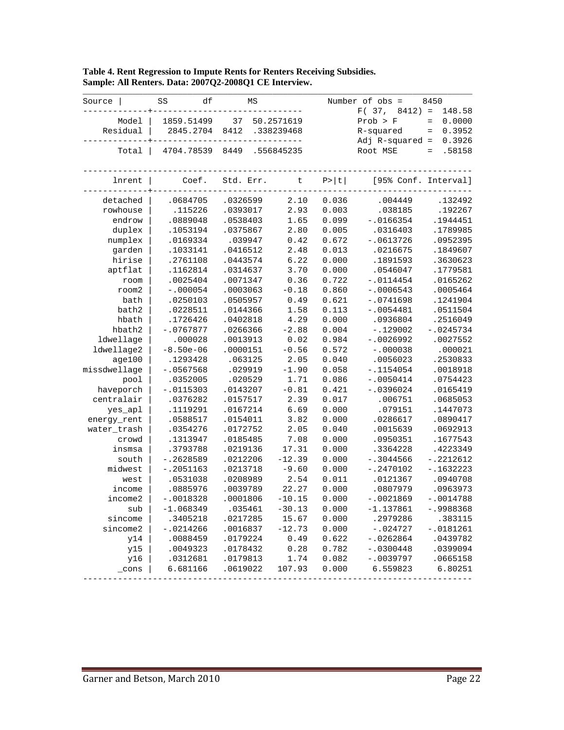| Source          | df<br>SS    | ΜS        |            |        | Number of obs =      | 8450                      |
|-----------------|-------------|-----------|------------|--------|----------------------|---------------------------|
|                 |             |           |            |        | F(37,<br>$8412$ ) =  | 148.58                    |
| Model           | 1859.51499  | 37        | 50.2571619 |        | Prob > F             | 0.0000<br>$\equiv$        |
| Residual        | 2845.2704   | 8412      | .338239468 |        | R-squared            | 0.3952<br>$\quad \  \  =$ |
|                 |             |           |            |        | $Adj$ R-squared =    | 0.3926                    |
| Total           | 4704.78539  | 8449      | .556845235 |        | Root MSE             | .58158<br>$=$             |
| lnrent          | Coef.       | Std. Err. | $\sf t$    | P >  t | [95% Conf. Interval] |                           |
| detached        | .0684705    | .0326599  | 2.10       | 0.036  | .004449              | .132492                   |
| rowhouse        | .115226     | .0393017  | 2.93       | 0.003  | .038185              | .192267                   |
| endrow          | .0889048    | .0538403  | 1.65       | 0.099  | $-.0166354$          | .1944451                  |
| duplex          | .1053194    | .0375867  | 2.80       | 0.005  | .0316403             | .1789985                  |
| numplex         | .0169334    | .039947   | 0.42       | 0.672  | $-.0613726$          | .0952395                  |
| garden          | .1033141    | .0416512  | 2.48       | 0.013  | .0216675             | .1849607                  |
| hirise          | .2761108    | .0443574  | 6.22       | 0.000  | .1891593             | .3630623                  |
| aptflat         | .1162814    | .0314637  | 3.70       | 0.000  | .0546047             | .1779581                  |
| room            | .0025404    | .0071347  | 0.36       | 0.722  | $-.0114454$          | .0165262                  |
| room2           | $-.000054$  | .0003063  | $-0.18$    | 0.860  | $-.0006543$          | .0005464                  |
| bath            | .0250103    | .0505957  | 0.49       | 0.621  | $-.0741698$          | .1241904                  |
| bath2           | .0228511    | .0144366  | 1.58       | 0.113  | $-.0054481$          | .0511504                  |
| hbath           | .1726426    | .0402818  | 4.29       | 0.000  | .0936804             | .2516049                  |
| hbath2          | $-0767877$  | .0266366  | $-2.88$    | 0.004  | $-.129002$           | $-10245734$               |
| ldwellage       | .000028     | .0013913  | 0.02       | 0.984  | $-.0026992$          | .0027552                  |
| ldwellage2      | $-8.50e-06$ | .0000151  | $-0.56$    | 0.572  | $-.000038$           | .000021                   |
| aqe100          | .1293428    | .063125   | 2.05       | 0.040  | .0056023             | .2530833                  |
| missdwellage    | $-.0567568$ | .029919   | $-1.90$    | 0.058  | $-.1154054$          | .0018918                  |
| pool            | .0352005    | .020529   | 1.71       | 0.086  | $-.0050414$          | .0754423                  |
| haveporch       | $-.0115303$ | .0143207  | $-0.81$    | 0.421  | $-.0396024$          | .0165419                  |
| centralair      | .0376282    | .0157517  | 2.39       | 0.017  | .006751              | .0685053                  |
| yes_apl         | .1119291    | .0167214  | 6.69       | 0.000  | .079151              | .1447073                  |
| energy_rent     | .0588517    | .0154011  | 3.82       | 0.000  | .0286617             | .0890417                  |
| water_trash     | .0354276    | .0172752  | 2.05       | 0.040  | .0015639             | .0692913                  |
| crowd           | .1313947    | .0185485  | 7.08       | 0.000  | .0950351             | .1677543                  |
| insmsa          | .3793788    | .0219136  | 17.31      | 0.000  | .3364228             | .4223349                  |
| south           | $-.2628589$ | .0212206  | $-12.39$   | 0.000  | $-.3044566$          | $-.2212612$               |
| midwest         | $-.2051163$ | .0213718  | $-9.60$    | 0.000  | $-.2470102$          | $-.1632223$               |
| west            | .0531038    | .0208989  | 2.54       | 0.011  | .0121367             | .0940708                  |
| income          | .0885976    | .0039789  | 22.27      | 0.000  | .0807979             | .0963973                  |
| income2         | $-.0018328$ | .0001806  | $-10.15$   | 0.000  | $-.0021869$          | $-.0014788$               |
| sub             | $-1.068349$ | .035461   | $-30.13$   | 0.000  | $-1.137861$          | $-.9988368$               |
| sincome         | .3405218    | .0217285  | 15.67      | 0.000  | .2979286             | .383115                   |
| sincome2        | $-.0214266$ | .0016837  | $-12.73$   | 0.000  | $-.024727$           | $-.0181261$               |
| y14             | .0088459    | .0179224  | 0.49       | 0.622  | $-.0262864$          | .0439782                  |
| Y <sup>15</sup> | .0049323    | .0178432  | 0.28       | 0.782  | $-.0300448$          | .0399094                  |
| y16             | .0312681    | .0179813  | 1.74       | 0.082  | $-.0039797$          | .0665158                  |
| $\_cons$        | 6.681166    | .0619022  | 107.93     | 0.000  | 6.559823             | 6.80251                   |
|                 |             |           |            |        |                      |                           |

# **Table 4. Rent Regression to Impute Rents for Renters Receiving Subsidies. Sample: All Renters. Data: 2007Q2-2008Q1 CE Interview.**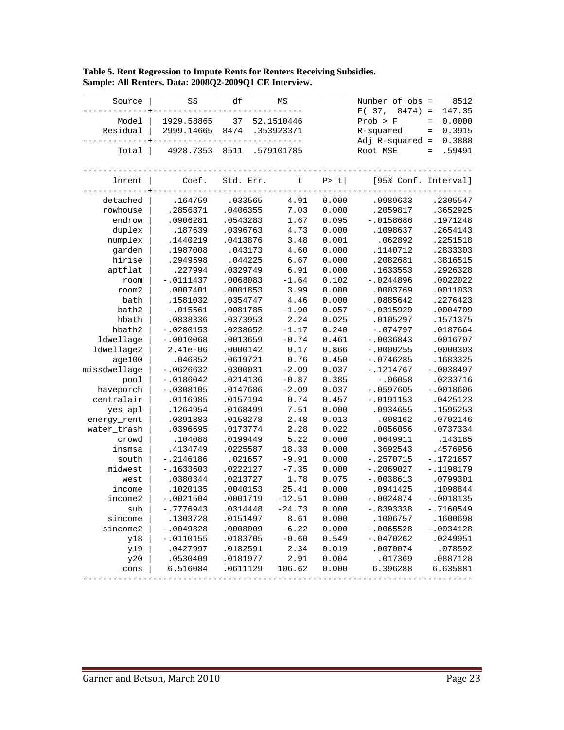| Source       | SS          | df        | ΜS         |        | Number of obs =<br>F(37,<br>$8474$ = | 8512<br>147.35            |
|--------------|-------------|-----------|------------|--------|--------------------------------------|---------------------------|
| Model        | 1929.58865  | 37        | 52.1510446 |        | Prob > F                             | 0.0000<br>$\quad =$       |
| Residual     | 2999.14665  | 8474      | .353923371 |        | R-squared                            | 0.3915<br>$\quad \  \  =$ |
|              |             |           |            |        | $Adj$ R-squared =                    | 0.3888                    |
| Total        | 4928.7353   | 8511      | .579101785 |        | Root MSE                             | .59491<br>$=$             |
|              |             |           |            |        |                                      |                           |
|              |             |           |            |        |                                      |                           |
| lnrent       | Coef.       | Std. Err. | $\sf t$    | P >  t | [95% Conf. Interval]                 |                           |
| detached     | .164759     | .033565   | 4.91       | 0.000  | .0989633                             | .2305547                  |
| rowhouse     | .2856371    | .0406355  | 7.03       | 0.000  | .2059817                             | .3652925                  |
| endrow       | .0906281    | .0543283  | 1.67       | 0.095  | $-.0158686$                          | .1971248                  |
| duplex       | .187639     | .0396763  | 4.73       | 0.000  | .1098637                             | .2654143                  |
| numplex      | .1440219    | .0413876  | 3.48       | 0.001  | .062892                              | .2251518                  |
| garden       | .1987008    | .043173   | 4.60       | 0.000  | .1140712                             | .2833303                  |
| hirise       | .2949598    | .044225   | 6.67       | 0.000  | .2082681                             | .3816515                  |
| aptflat      | .227994     | .0329749  | 6.91       | 0.000  | .1633553                             | .2926328                  |
| room         | $-.0111437$ | .0068083  | $-1.64$    | 0.102  | $-.0244896$                          | .0022022                  |
| room2        | .0007401    | .0001853  | 3.99       | 0.000  | .0003769                             | .0011033                  |
| bath         | .1581032    | .0354747  | 4.46       | 0.000  | .0885642                             | .2276423                  |
| bath2        | $-.015561$  | .0081785  | $-1.90$    | 0.057  | $-.0315929$                          | .0004709                  |
| hbath        | .0838336    | .0373953  | 2.24       | 0.025  | .0105297                             | .1571375                  |
| hbath2       | $-.0280153$ | .0238652  | $-1.17$    | 0.240  | $-.074797$                           | .0187664                  |
| ldwellage    | $-.0010068$ | .0013659  | $-0.74$    | 0.461  | $-.0036843$                          | .0016707                  |
| ldwellage2   | $2.41e-06$  | .0000142  | 0.17       | 0.866  | $-.0000255$                          | .0000303                  |
| age100       | .046852     | .0619721  | 0.76       | 0.450  | $-.0746285$                          | .1683325                  |
| missdwellage | $-.0626632$ | .0300031  | $-2.09$    | 0.037  | $-.1214767$                          | $-.0038497$               |
| pool         | $-.0186042$ | .0214136  | $-0.87$    | 0.385  | $-.06058$                            | .0233716                  |
| haveporch    | $-.0308105$ | .0147686  | $-2.09$    | 0.037  | $-.0597605$                          | $-.0018606$               |
| centralair   | .0116985    | .0157194  | 0.74       | 0.457  | $-.0191153$                          | .0425123                  |
| yes_apl      | .1264954    | .0168499  | 7.51       | 0.000  | .0934655                             | .1595253                  |
| energy_rent  | .0391883    | .0158278  | 2.48       | 0.013  | .008162                              | .0702146                  |
| water_trash  | .0396695    | .0173774  | 2.28       | 0.022  | .0056056                             | .0737334                  |
| crowd        | .104088     | .0199449  | 5.22       | 0.000  | .0649911                             | .143185                   |
| insmsa       | .4134749    | .0225587  | 18.33      | 0.000  | .3692543                             | .4576956                  |
| south        | $-.2146186$ | .021657   | $-9.91$    | 0.000  | $-.2570715$                          | $-.1721657$               |
| midwest      | $-.1633603$ | .0222127  | $-7.35$    | 0.000  | $-.2069027$                          | $-.1198179$               |
| west         | .0380344    | .0213727  | 1.78       | 0.075  | $-.0038613$                          | .0799301                  |
| income       | .1020135    | .0040153  | 25.41      | 0.000  | .0941425                             | .1098844                  |
| income2      | $-.0021504$ | .0001719  | $-12.51$   | 0.000  | $-.0024874$                          | $-.0018135$               |
| sub          | $-.7776943$ | .0314448  | $-24.73$   | 0.000  | $-.8393338$                          | $-.7160549$               |
| sincome      | .1303728    | .0151497  | 8.61       | 0.000  | .1006757                             | .1600698                  |
| sincome2     | $-.0049828$ | .0008009  | $-6.22$    | 0.000  | $-.0065528$                          | $-.0034128$               |
| y18          | $-.0110155$ | .0183705  | $-0.60$    | 0.549  | $-.0470262$                          | .0249951                  |
| y19          | .0427997    | .0182591  | 2.34       | 0.019  | .0070074                             | .078592                   |
| y20          | .0530409    | .0181977  | 2.91       | 0.004  | .017369                              | .0887128                  |
| _cons        | 6.516084    | .0611129  | 106.62     | 0.000  | 6.396288                             | 6.635881                  |
|              |             |           |            |        |                                      |                           |

**Table 5. Rent Regression to Impute Rents for Renters Receiving Subsidies. Sample: All Renters. Data: 2008Q2-2009Q1 CE Interview.**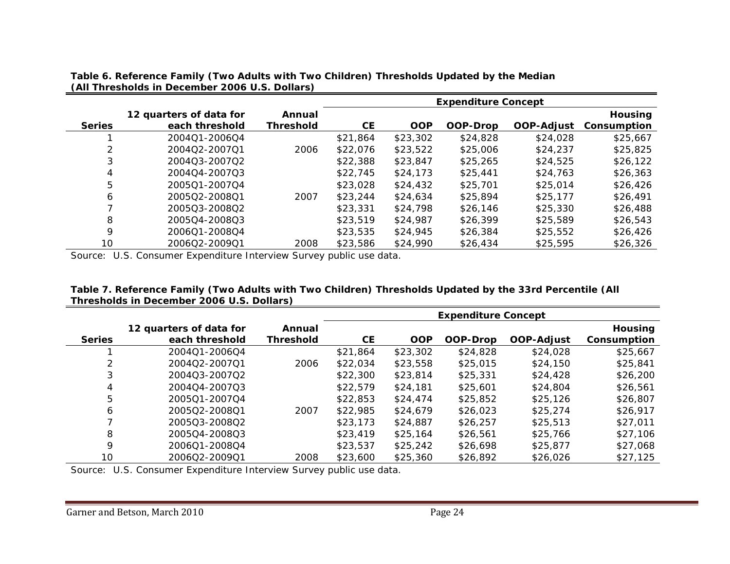|               |                         | <b>Expenditure Concept</b> |           |            |          |            |                |  |
|---------------|-------------------------|----------------------------|-----------|------------|----------|------------|----------------|--|
|               | 12 quarters of data for | Annual                     |           |            |          |            | <b>Housing</b> |  |
| <b>Series</b> | each threshold          | <b>Threshold</b>           | <b>CE</b> | <b>OOP</b> | OOP-Drop | OOP-Adjust | Consumption    |  |
|               | 200401-200604           |                            | \$21,864  | \$23,302   | \$24,828 | \$24,028   | \$25,667       |  |
|               | 200402-200701           | 2006                       | \$22,076  | \$23,522   | \$25,006 | \$24,237   | \$25,825       |  |
| 3             | 200403-200702           |                            | \$22,388  | \$23,847   | \$25,265 | \$24,525   | \$26,122       |  |
| 4             | 200404-200703           |                            | \$22,745  | \$24,173   | \$25,441 | \$24,763   | \$26,363       |  |
| 5             | 200501-200704           |                            | \$23,028  | \$24,432   | \$25,701 | \$25,014   | \$26,426       |  |
| 6             | 200502-200801           | 2007                       | \$23,244  | \$24,634   | \$25,894 | \$25,177   | \$26,491       |  |
|               | 200503-200802           |                            | \$23,331  | \$24,798   | \$26,146 | \$25,330   | \$26,488       |  |
| 8             | 200504-200803           |                            | \$23,519  | \$24,987   | \$26,399 | \$25,589   | \$26,543       |  |
| 9             | 200601-200804           |                            | \$23,535  | \$24,945   | \$26,384 | \$25,552   | \$26,426       |  |
| 10            | 200602-200901           | 2008                       | \$23,586  | \$24,990   | \$26,434 | \$25,595   | \$26,326       |  |

**Table 6. Reference Family (Two Adults with Two Children) Thresholds Updated by the Median (All Thresholds in December 2006 U.S. Dollars)**

Source: U.S. Consumer Expenditure Interview Survey public use data.

| Table 7. Reference Family (Two Adults with Two Children) Thresholds Updated by the 33rd Percentile (All |  |
|---------------------------------------------------------------------------------------------------------|--|
| Thresholds in December 2006 U.S. Dollars)                                                               |  |

|               |                                           |                     | <b>Expenditure Concept</b> |            |          |                   |                               |
|---------------|-------------------------------------------|---------------------|----------------------------|------------|----------|-------------------|-------------------------------|
| <b>Series</b> | 12 quarters of data for<br>each threshold | Annual<br>Threshold | <b>CE</b>                  | <b>OOP</b> | OOP-Drop | <b>OOP-Adjust</b> | <b>Housing</b><br>Consumption |
|               | 200401-200604                             |                     | \$21,864                   | \$23,302   | \$24,828 | \$24,028          | \$25,667                      |
| 2             | 200402-200701                             | 2006                | \$22,034                   | \$23,558   | \$25,015 | \$24,150          | \$25,841                      |
| 3             | 200403-200702                             |                     | \$22,300                   | \$23,814   | \$25,331 | \$24,428          | \$26,200                      |
| 4             | 2004Q4-2007Q3                             |                     | \$22,579                   | \$24,181   | \$25,601 | \$24,804          | \$26,561                      |
| 5             | 200501-200704                             |                     | \$22,853                   | \$24,474   | \$25,852 | \$25,126          | \$26,807                      |
| 6             | 200502-200801                             | 2007                | \$22,985                   | \$24,679   | \$26,023 | \$25,274          | \$26,917                      |
|               | 200503-200802                             |                     | \$23,173                   | \$24,887   | \$26,257 | \$25.513          | \$27,011                      |
| 8             | 200504-200803                             |                     | \$23,419                   | \$25,164   | \$26,561 | \$25,766          | \$27,106                      |
| 9             | 200601-200804                             |                     | \$23,537                   | \$25,242   | \$26,698 | \$25,877          | \$27,068                      |
| 10            | 200602-200901                             | 2008                | \$23,600                   | \$25,360   | \$26,892 | \$26,026          | \$27,125                      |

Source: U.S. Consumer Expenditure Interview Survey public use data.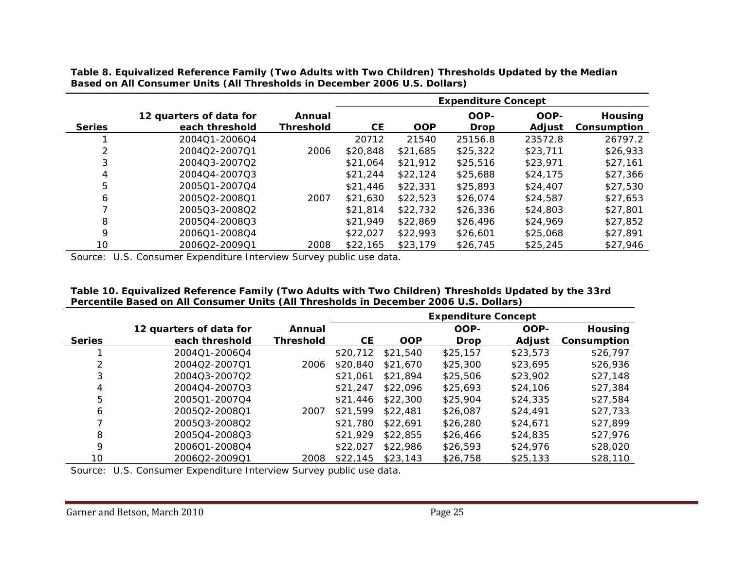**Table 8. Equivalized Reference Family (Two Adults with Two Children) Thresholds Updated by the Median Based on All Consumer Units (All Thresholds in December 2006 U.S. Dollars)**

|               |                         |                  | <b>Expenditure Concept</b> |            |             |               |                |
|---------------|-------------------------|------------------|----------------------------|------------|-------------|---------------|----------------|
|               | 12 quarters of data for | Annual           |                            |            | OOP-        | OOP-          | <b>Housing</b> |
| <b>Series</b> | each threshold          | <b>Threshold</b> | <b>CE</b>                  | <b>OOP</b> | <b>Drop</b> | <b>Adjust</b> | Consumption    |
|               | 200401-200604           |                  | 20712                      | 21540      | 25156.8     | 23572.8       | 26797.2        |
| 2             | 200402-200701           | 2006             | \$20,848                   | \$21,685   | \$25,322    | \$23,711      | \$26,933       |
| 3             | 200403-200702           |                  | \$21,064                   | \$21,912   | \$25,516    | \$23,971      | \$27.161       |
| 4             | 200404-200703           |                  | \$21,244                   | \$22,124   | \$25,688    | \$24,175      | \$27,366       |
| 5             | 200501-200704           |                  | \$21,446                   | \$22,331   | \$25,893    | \$24,407      | \$27,530       |
| 6             | 200502-200801           | 2007             | \$21,630                   | \$22,523   | \$26,074    | \$24,587      | \$27,653       |
|               | 200503-200802           |                  | \$21,814                   | \$22,732   | \$26,336    | \$24,803      | \$27,801       |
| 8             | 200504-200803           |                  | \$21,949                   | \$22,869   | \$26,496    | \$24,969      | \$27,852       |
| 9             | 2006Q1-2008Q4           |                  | \$22,027                   | \$22,993   | \$26,601    | \$25,068      | \$27,891       |
| 10            | 200602-200901           | 2008             | \$22,165                   | \$23,179   | \$26,745    | \$25,245      | \$27,946       |

Source: U.S. Consumer Expenditure Interview Survey public use data.

| Table 10. Equivalized Reference Family (Two Adults with Two Children) Thresholds Updated by the 33rd |
|------------------------------------------------------------------------------------------------------|
| Percentile Based on All Consumer Units (All Thresholds in December 2006 U.S. Dollars)                |

|               |                         |                  | <b>Expenditure Concept</b> |            |             |          |                |
|---------------|-------------------------|------------------|----------------------------|------------|-------------|----------|----------------|
|               | 12 quarters of data for | Annual           |                            |            | OOP-        | OOP-     | <b>Housing</b> |
| <b>Series</b> | each threshold          | <b>Threshold</b> | <b>CE</b>                  | <b>OOP</b> | <b>Drop</b> | Adjust   | Consumption    |
|               | 200401-200604           |                  | \$20,712                   | \$21,540   | \$25,157    | \$23,573 | \$26,797       |
|               | 200402-200701           | 2006             | \$20,840                   | \$21,670   | \$25,300    | \$23,695 | \$26,936       |
| 3             | 200403-200702           |                  | \$21,061                   | \$21,894   | \$25,506    | \$23,902 | \$27,148       |
| 4             | 200404-200703           |                  | \$21,247                   | \$22,096   | \$25,693    | \$24,106 | \$27,384       |
| 5             | 200501-200704           |                  | \$21,446                   | \$22,300   | \$25,904    | \$24,335 | \$27,584       |
| 6             | 200502-200801           | 2007             | \$21,599                   | \$22,481   | \$26,087    | \$24,491 | \$27,733       |
|               | 200503-200802           |                  | \$21,780                   | \$22,691   | \$26,280    | \$24,671 | \$27,899       |
| 8             | 200504-200803           |                  | \$21,929                   | \$22,855   | \$26,466    | \$24,835 | \$27,976       |
| 9             | 200601-200804           |                  | \$22,027                   | \$22,986   | \$26,593    | \$24,976 | \$28,020       |
| 10            | 2006Q2-2009Q1           | 2008             | \$22,145                   | \$23,143   | \$26,758    | \$25,133 | \$28,110       |

Source: U.S. Consumer Expenditure Interview Survey public use data.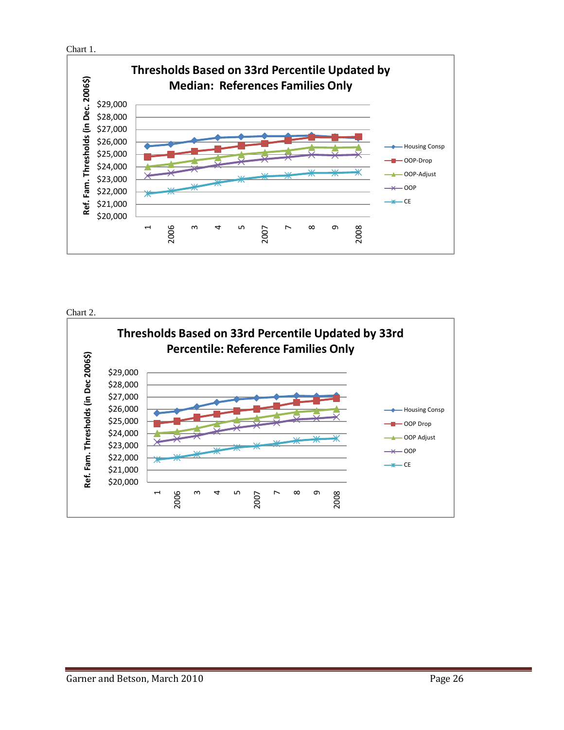





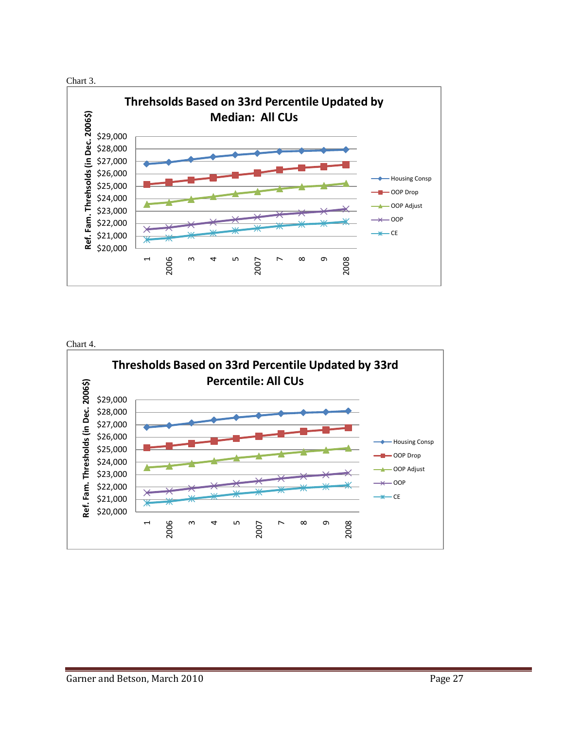



Chart 4.